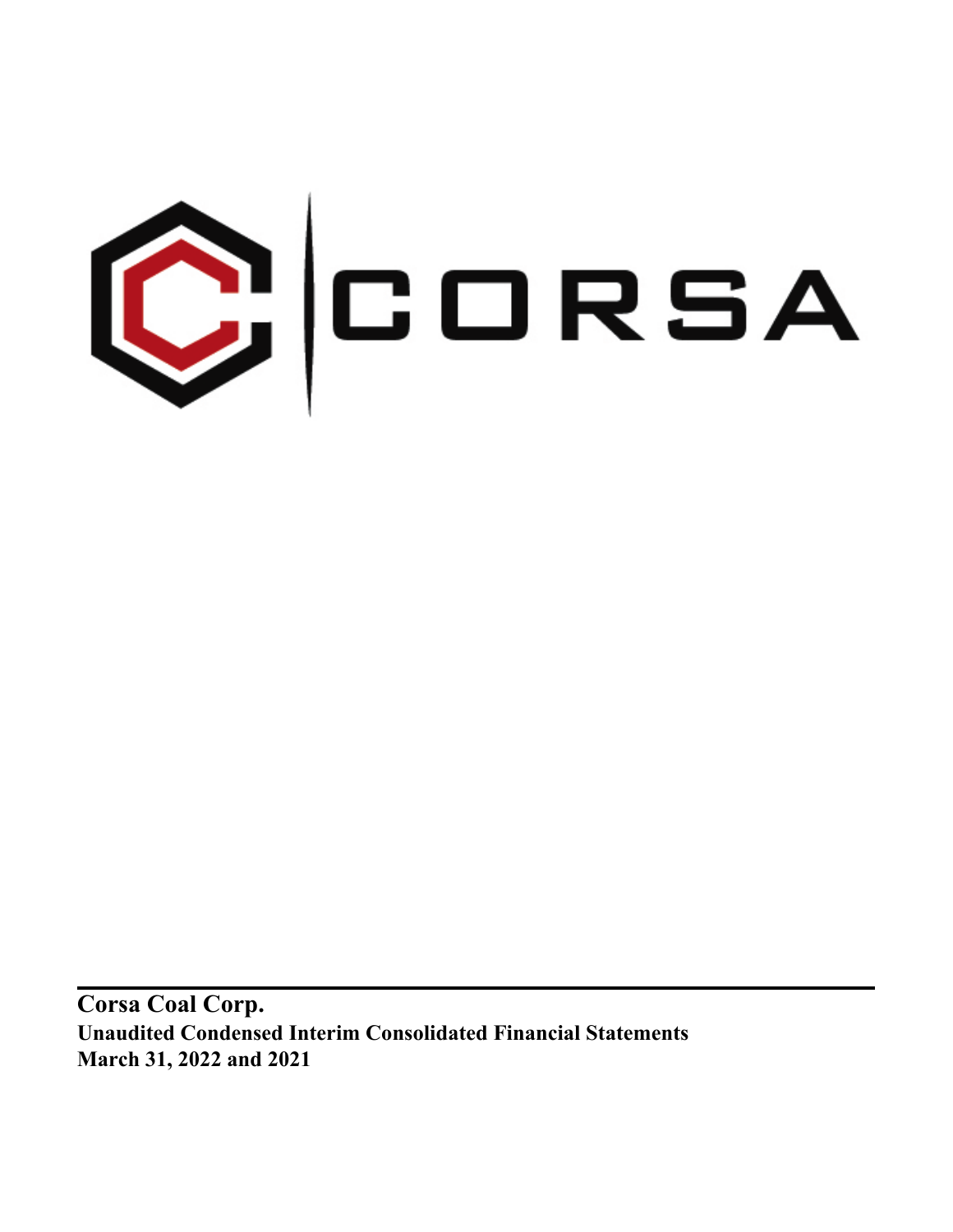

**Corsa Coal Corp. Unaudited Condensed Interim Consolidated Financial Statements March 31, 2022 and 2021**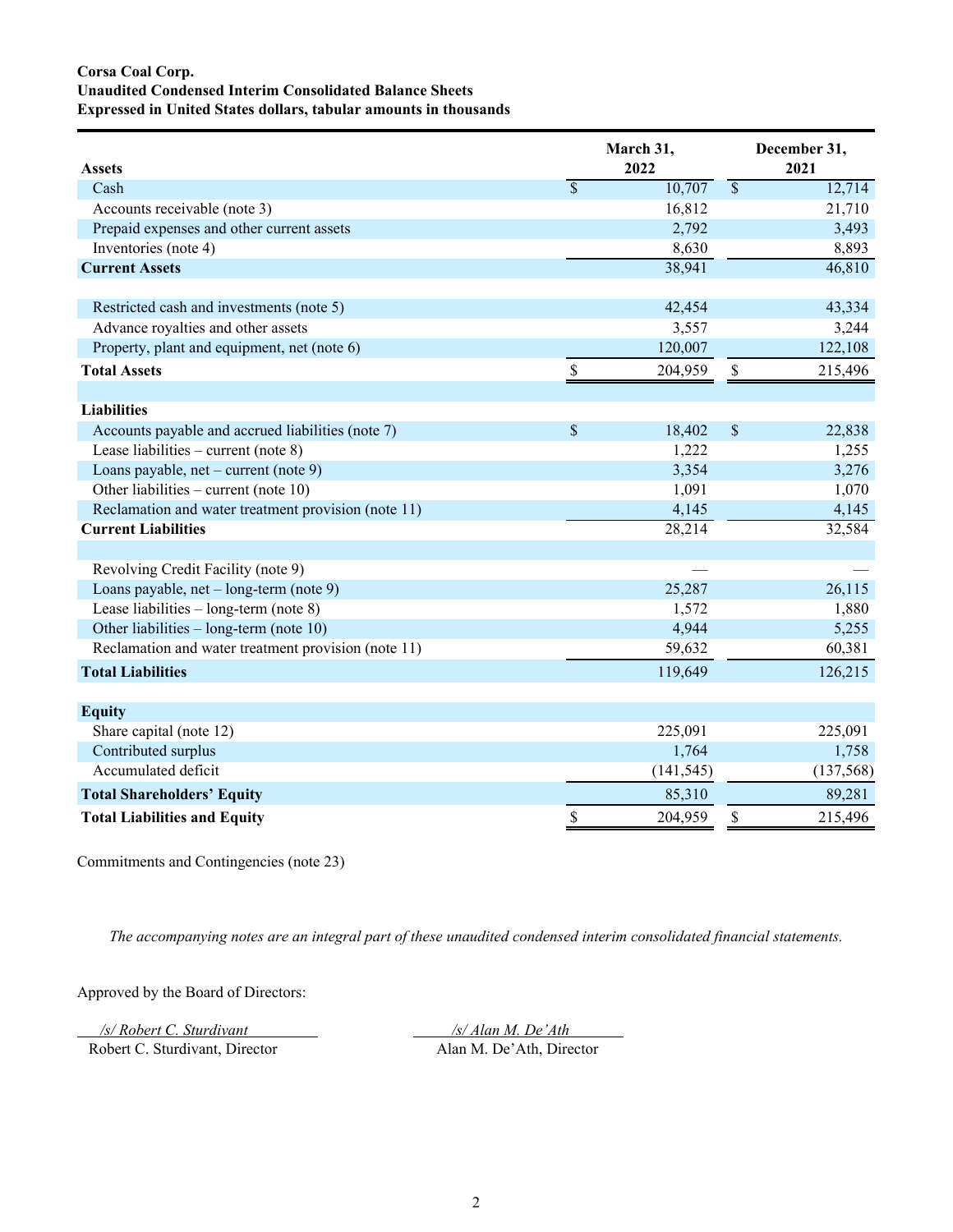# **Corsa Coal Corp. Unaudited Condensed Interim Consolidated Balance Sheets Expressed in United States dollars, tabular amounts in thousands**

|                                                     |                          | March 31,  |                          | December 31, |
|-----------------------------------------------------|--------------------------|------------|--------------------------|--------------|
| <b>Assets</b>                                       |                          | 2022       |                          | 2021         |
| Cash                                                | $\overline{\mathcal{S}}$ | 10,707     | $\overline{\mathcal{S}}$ | 12,714       |
| Accounts receivable (note 3)                        |                          | 16,812     |                          | 21,710       |
| Prepaid expenses and other current assets           |                          | 2,792      |                          | 3,493        |
| Inventories (note 4)                                |                          | 8,630      |                          | 8,893        |
| <b>Current Assets</b>                               |                          | 38,941     |                          | 46,810       |
|                                                     |                          |            |                          |              |
| Restricted cash and investments (note 5)            |                          | 42,454     |                          | 43,334       |
| Advance royalties and other assets                  |                          | 3,557      |                          | 3,244        |
| Property, plant and equipment, net (note 6)         |                          | 120,007    |                          | 122,108      |
| <b>Total Assets</b>                                 | \$                       | 204,959    | $\mathbb S$              | 215,496      |
|                                                     |                          |            |                          |              |
| <b>Liabilities</b>                                  |                          |            |                          |              |
| Accounts payable and accrued liabilities (note 7)   | \$                       | 18,402     | \$                       | 22,838       |
| Lease liabilities – current (note $8$ )             |                          | 1,222      |                          | 1,255        |
| Loans payable, $net$ – current (note 9)             |                          | 3,354      |                          | 3,276        |
| Other liabilities – current (note 10)               |                          | 1,091      |                          | 1,070        |
| Reclamation and water treatment provision (note 11) |                          | 4,145      |                          | 4,145        |
| <b>Current Liabilities</b>                          |                          | 28,214     |                          | 32,584       |
|                                                     |                          |            |                          |              |
| Revolving Credit Facility (note 9)                  |                          |            |                          |              |
| Loans payable, net – long-term (note 9)             |                          | 25,287     |                          | 26,115       |
| Lease liabilities $-$ long-term (note 8)            |                          | 1,572      |                          | 1,880        |
| Other liabilities $-$ long-term (note 10)           |                          | 4,944      |                          | 5,255        |
| Reclamation and water treatment provision (note 11) |                          | 59,632     |                          | 60,381       |
| <b>Total Liabilities</b>                            |                          | 119,649    |                          | 126,215      |
|                                                     |                          |            |                          |              |
| <b>Equity</b>                                       |                          |            |                          |              |
| Share capital (note 12)                             |                          | 225,091    |                          | 225,091      |
| Contributed surplus                                 |                          | 1,764      |                          | 1,758        |
| Accumulated deficit                                 |                          | (141, 545) |                          | (137, 568)   |
| <b>Total Shareholders' Equity</b>                   |                          | 85,310     |                          | 89,281       |
| <b>Total Liabilities and Equity</b>                 | \$                       | 204,959    | \$                       | 215,496      |

Commitments and Contingencies (note 23)

*The accompanying notes are an integral part of these unaudited condensed interim consolidated financial statements.*

Approved by the Board of Directors:

*/s/ Robert C. Sturdivant /s/ Alan M. De'Ath /s/ Alan M. De'Ath /s/ Alan M. De'Ath Director* Robert C. Sturdivant, Director Alan M. De'Ath, Director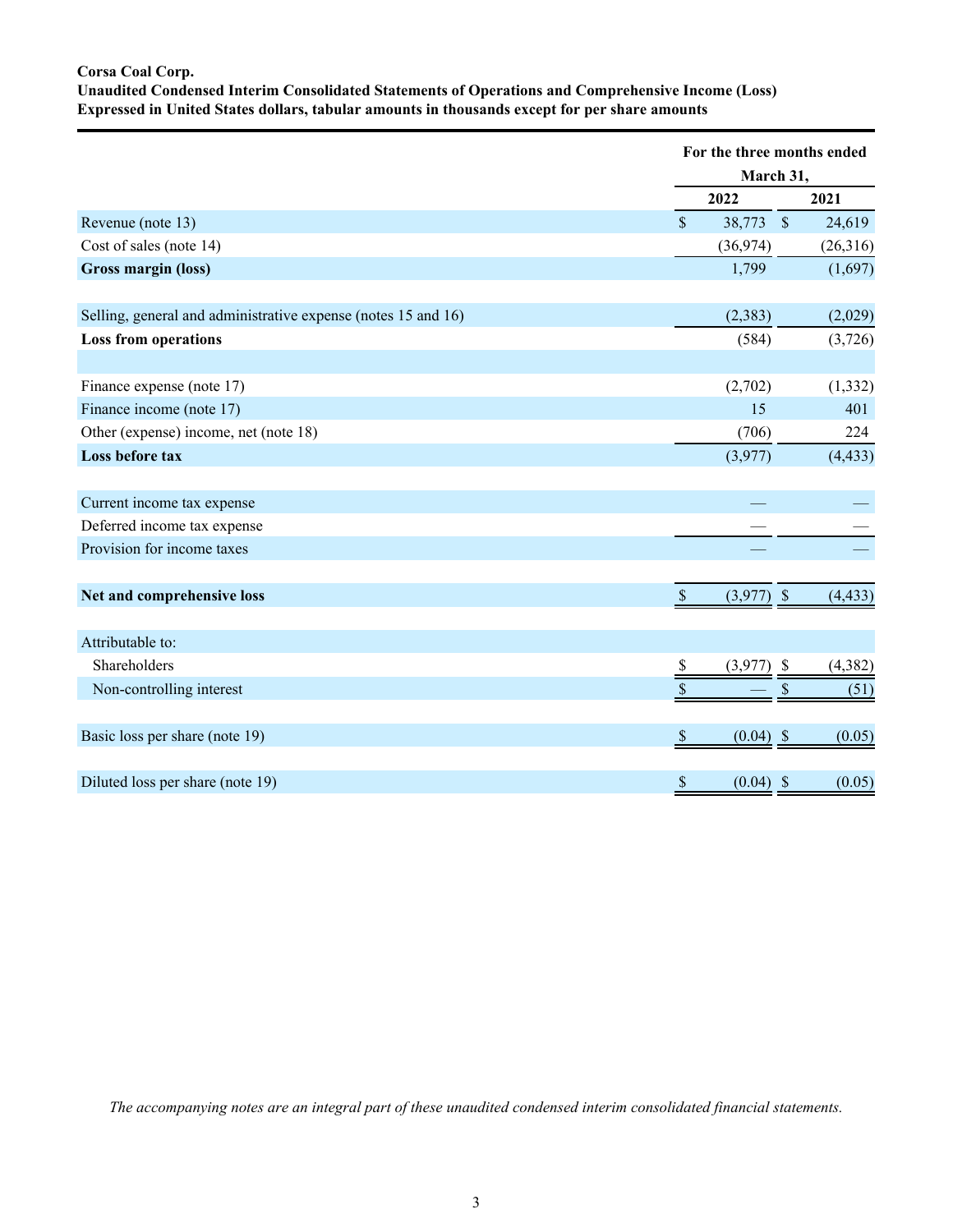# **Corsa Coal Corp. Unaudited Condensed Interim Consolidated Statements of Operations and Comprehensive Income (Loss) Expressed in United States dollars, tabular amounts in thousands except for per share amounts**

|                                                               | For the three months ended                      | March 31, |          |
|---------------------------------------------------------------|-------------------------------------------------|-----------|----------|
|                                                               | 2022                                            |           | 2021     |
| Revenue (note 13)                                             | $\mathsf{\$}$<br>38,773 \$                      |           | 24,619   |
| Cost of sales (note 14)                                       | (36,974)                                        |           | (26,316) |
| Gross margin (loss)                                           | 1,799                                           |           | (1,697)  |
| Selling, general and administrative expense (notes 15 and 16) | (2, 383)                                        |           | (2,029)  |
| <b>Loss from operations</b>                                   | (584)                                           |           | (3,726)  |
| Finance expense (note 17)                                     | (2,702)                                         |           | (1, 332) |
| Finance income (note 17)                                      | 15                                              |           | 401      |
| Other (expense) income, net (note 18)                         | (706)                                           |           | 224      |
| Loss before tax                                               | (3,977)                                         |           | (4, 433) |
| Current income tax expense                                    |                                                 |           |          |
| Deferred income tax expense                                   |                                                 |           |          |
| Provision for income taxes                                    |                                                 |           |          |
| Net and comprehensive loss                                    | $\mathbb{S}$<br>$(3,977)$ \$                    |           | (4, 433) |
| Attributable to:                                              |                                                 |           |          |
| Shareholders                                                  | $(3,977)$ \$<br>$\frac{\mathsf{s}}{\mathsf{s}}$ |           | (4, 382) |
| Non-controlling interest                                      | \$                                              | \$        | (51)     |
| Basic loss per share (note 19)                                | $\boldsymbol{\mathsf{S}}$<br>$(0.04)$ \$        |           | (0.05)   |
| Diluted loss per share (note 19)                              | $(0.04)$ \$<br>$\boldsymbol{\mathsf{S}}$        |           | (0.05)   |

*The accompanying notes are an integral part of these unaudited condensed interim consolidated financial statements.*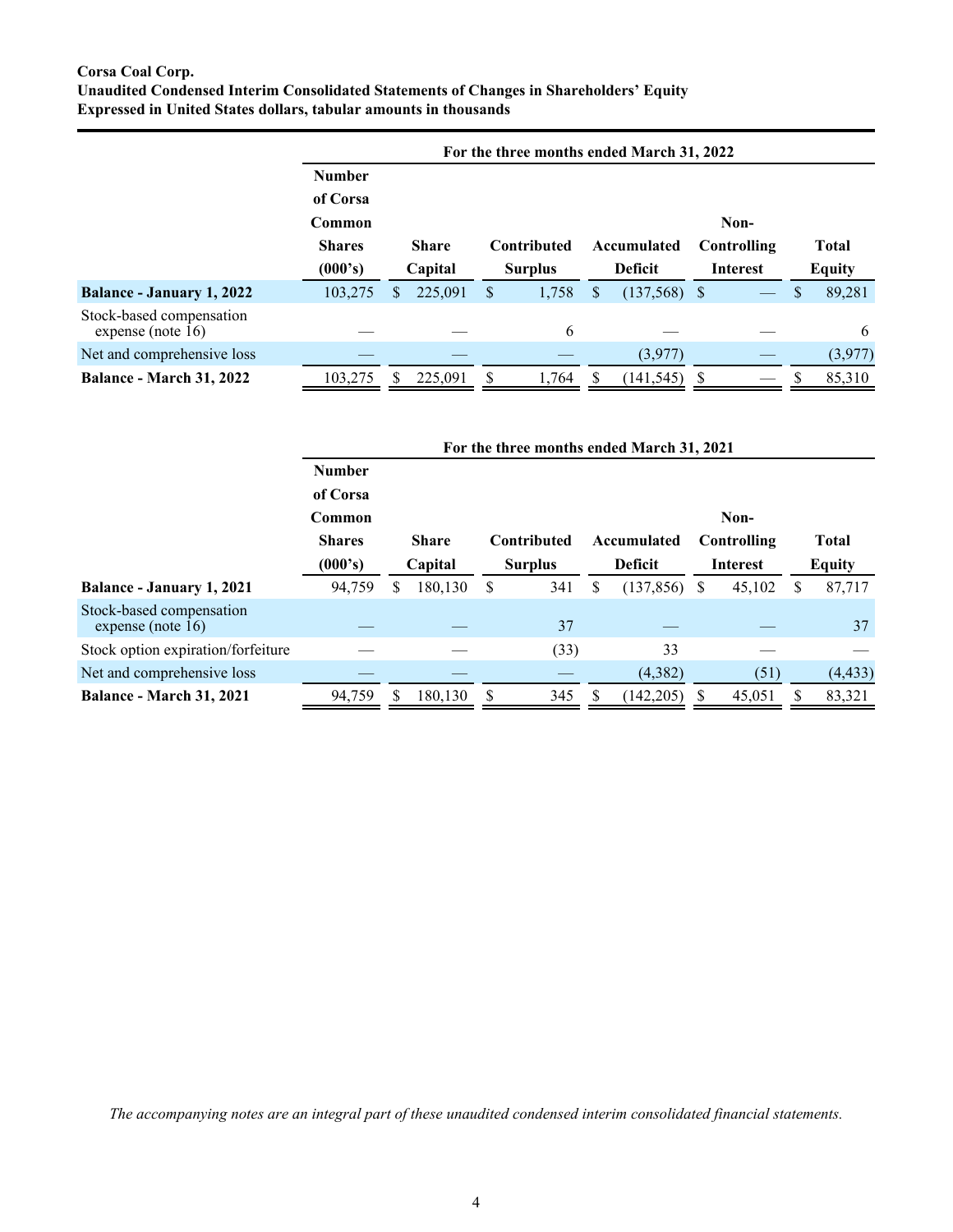# **Corsa Coal Corp. Unaudited Condensed Interim Consolidated Statements of Changes in Shareholders' Equity Expressed in United States dollars, tabular amounts in thousands**

|                                                  |               | For the three months ended March 31, 2022 |                    |    |                |                 |               |  |  |  |  |  |  |
|--------------------------------------------------|---------------|-------------------------------------------|--------------------|----|----------------|-----------------|---------------|--|--|--|--|--|--|
|                                                  | <b>Number</b> |                                           |                    |    |                |                 |               |  |  |  |  |  |  |
|                                                  | of Corsa      |                                           |                    |    |                |                 |               |  |  |  |  |  |  |
|                                                  | Common        |                                           |                    |    |                | Non-            |               |  |  |  |  |  |  |
|                                                  | <b>Shares</b> | <b>Share</b>                              | <b>Contributed</b> |    | Accumulated    | Controlling     | <b>Total</b>  |  |  |  |  |  |  |
|                                                  | (000's)       | Capital                                   | <b>Surplus</b>     |    | <b>Deficit</b> | <b>Interest</b> | <b>Equity</b> |  |  |  |  |  |  |
| <b>Balance - January 1, 2022</b>                 | 103,275       | 225,091<br>\$                             | 1,758<br>S         | \$ | $(137,568)$ \$ |                 | 89,281<br>\$  |  |  |  |  |  |  |
| Stock-based compensation<br>expense (note $16$ ) |               |                                           | 6                  |    |                |                 | 6             |  |  |  |  |  |  |
| Net and comprehensive loss                       |               |                                           |                    |    | (3,977)        |                 | (3,977)       |  |  |  |  |  |  |
| <b>Balance - March 31, 2022</b>                  | 103,275       | 225,091                                   | 1,764              |    | (141, 545)     | S               | 85,310<br>S   |  |  |  |  |  |  |

|                                               |               |              |         |                |             |   | For the three months ended March 31, 2021 |                 |             |               |              |  |  |
|-----------------------------------------------|---------------|--------------|---------|----------------|-------------|---|-------------------------------------------|-----------------|-------------|---------------|--------------|--|--|
|                                               | <b>Number</b> |              |         |                |             |   |                                           |                 |             |               |              |  |  |
|                                               | of Corsa      |              |         |                |             |   |                                           |                 |             |               |              |  |  |
|                                               | Common        | Non-         |         |                |             |   |                                           |                 |             |               |              |  |  |
|                                               | <b>Shares</b> | <b>Share</b> |         |                | Contributed |   | Accumulated                               |                 | Controlling |               | <b>Total</b> |  |  |
|                                               | (000's)       | Capital      |         | <b>Surplus</b> |             |   | <b>Deficit</b>                            | <b>Interest</b> |             | <b>Equity</b> |              |  |  |
| Balance - January 1, 2021                     | 94,759        | S            | 180,130 | S              | 341         | S | (137, 856)                                | <sup>8</sup>    | 45,102      | S             | 87,717       |  |  |
| Stock-based compensation<br>expense (note 16) |               |              |         |                | 37          |   |                                           |                 |             |               | 37           |  |  |
| Stock option expiration/forfeiture            |               |              |         |                | (33)        |   | 33                                        |                 |             |               |              |  |  |
| Net and comprehensive loss                    |               |              |         |                |             |   | (4,382)                                   |                 | (51)        |               | (4, 433)     |  |  |
| <b>Balance - March 31, 2021</b>               | 94,759        |              | 180,130 |                | 345         |   | (142, 205)                                |                 | 45,051      |               | 83,321       |  |  |

*The accompanying notes are an integral part of these unaudited condensed interim consolidated financial statements.*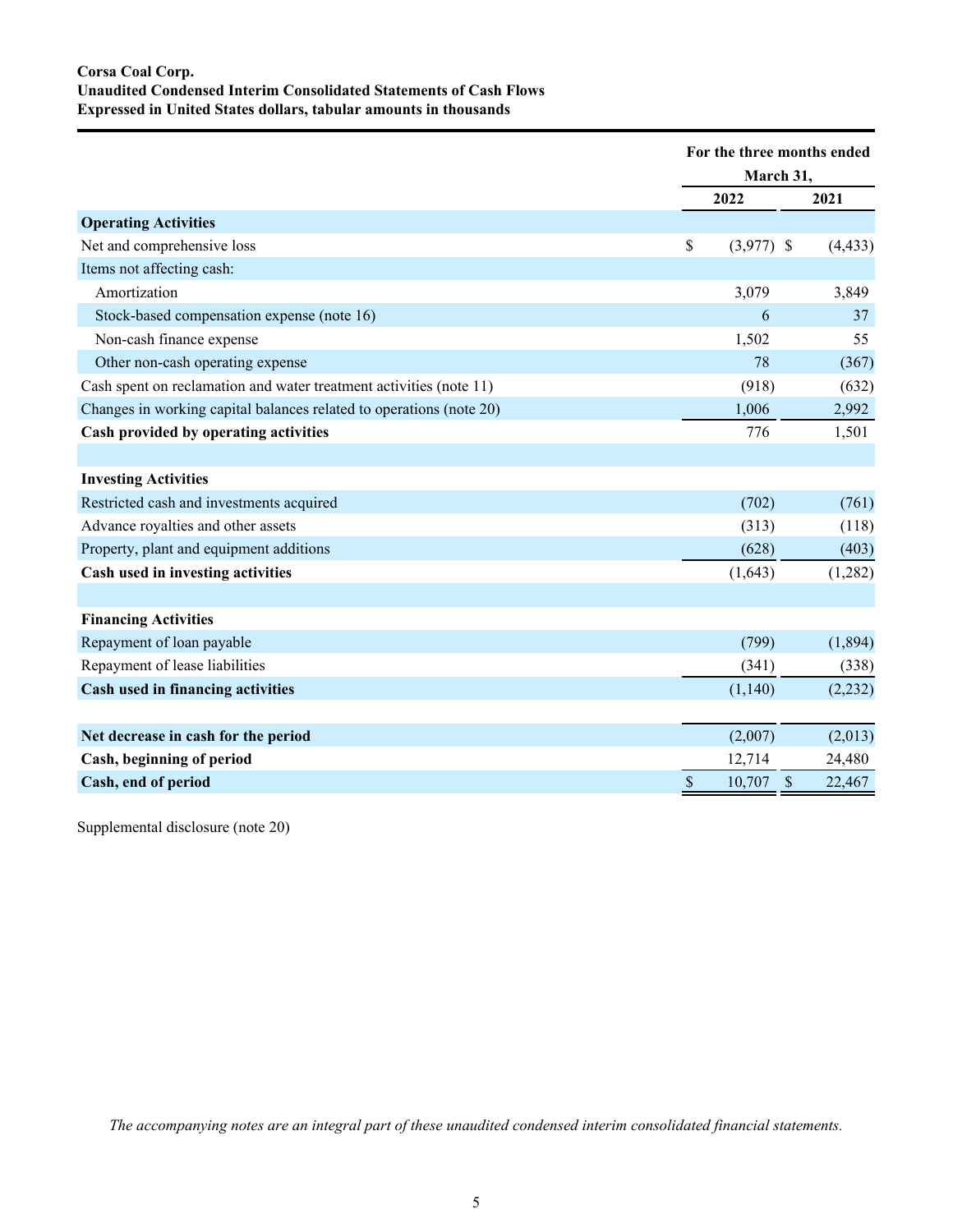# **Corsa Coal Corp. Unaudited Condensed Interim Consolidated Statements of Cash Flows Expressed in United States dollars, tabular amounts in thousands**

|                                                                     |               | For the three months ended<br>March 31, |               |          |
|---------------------------------------------------------------------|---------------|-----------------------------------------|---------------|----------|
|                                                                     |               | 2022                                    |               | 2021     |
| <b>Operating Activities</b>                                         |               |                                         |               |          |
| Net and comprehensive loss                                          | \$            | $(3,977)$ \$                            |               | (4, 433) |
| Items not affecting cash:                                           |               |                                         |               |          |
| Amortization                                                        |               | 3,079                                   |               | 3,849    |
| Stock-based compensation expense (note 16)                          |               | 6                                       |               | 37       |
| Non-cash finance expense                                            |               | 1,502                                   |               | 55       |
| Other non-cash operating expense                                    |               | 78                                      |               | (367)    |
| Cash spent on reclamation and water treatment activities (note 11)  |               | (918)                                   |               | (632)    |
| Changes in working capital balances related to operations (note 20) |               | 1,006                                   |               | 2,992    |
| Cash provided by operating activities                               |               | 776                                     |               | 1,501    |
|                                                                     |               |                                         |               |          |
| <b>Investing Activities</b>                                         |               |                                         |               |          |
| Restricted cash and investments acquired                            |               | (702)                                   |               | (761)    |
| Advance royalties and other assets                                  |               | (313)                                   |               | (118)    |
| Property, plant and equipment additions                             |               | (628)                                   |               | (403)    |
| Cash used in investing activities                                   |               | (1, 643)                                |               | (1,282)  |
|                                                                     |               |                                         |               |          |
| <b>Financing Activities</b>                                         |               |                                         |               |          |
| Repayment of loan payable                                           |               | (799)                                   |               | (1,894)  |
| Repayment of lease liabilities                                      |               | (341)                                   |               | (338)    |
| Cash used in financing activities                                   |               | (1,140)                                 |               | (2, 232) |
|                                                                     |               |                                         |               |          |
| Net decrease in cash for the period                                 |               | (2,007)                                 |               | (2,013)  |
| Cash, beginning of period                                           |               | 12,714                                  |               | 24,480   |
| Cash, end of period                                                 | $\mathcal{S}$ | 10,707                                  | $\mathcal{S}$ | 22,467   |
|                                                                     |               |                                         |               |          |

Supplemental disclosure (note 20)

*The accompanying notes are an integral part of these unaudited condensed interim consolidated financial statements.*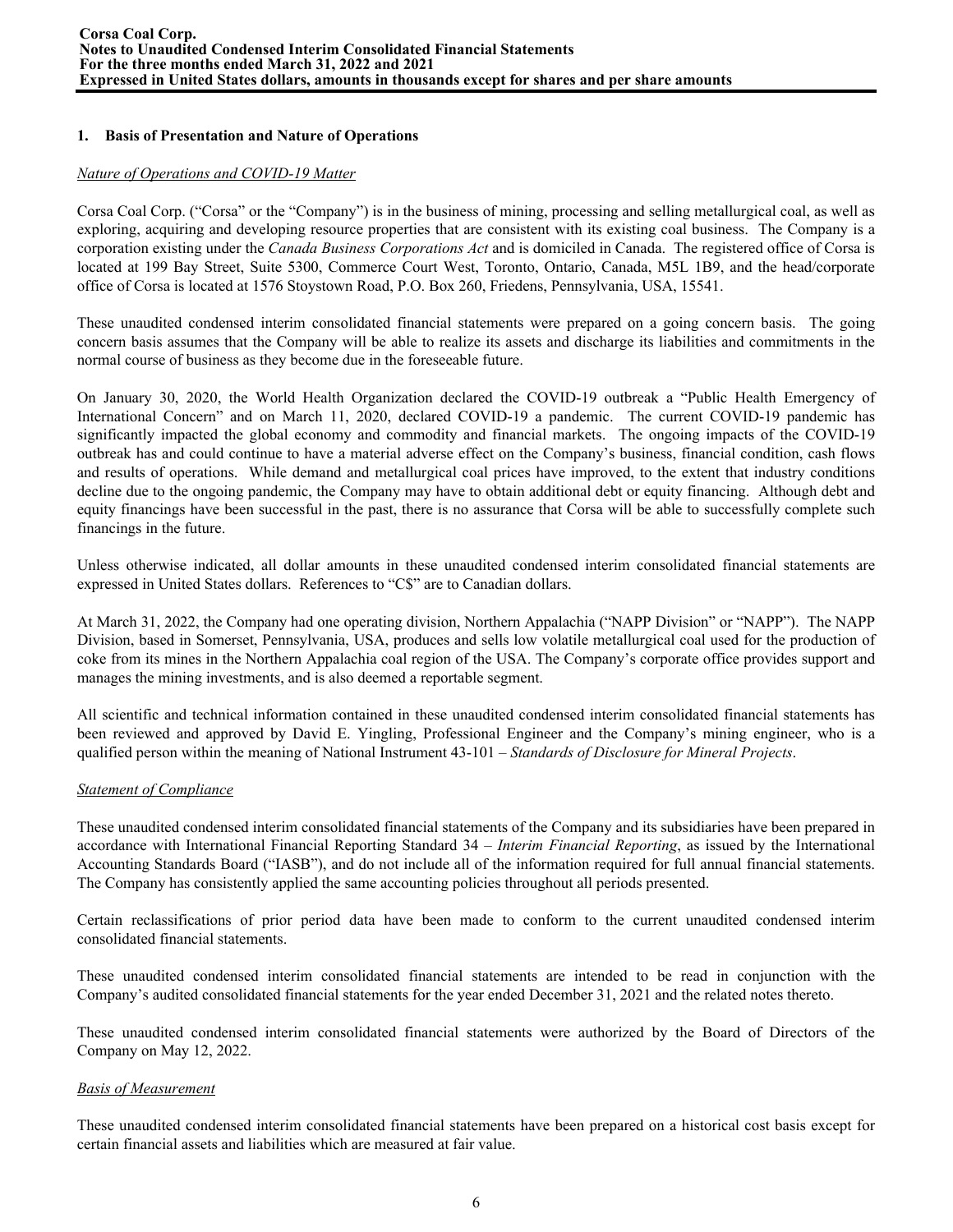# **1. Basis of Presentation and Nature of Operations**

### *Nature of Operations and COVID-19 Matter*

Corsa Coal Corp. ("Corsa" or the "Company") is in the business of mining, processing and selling metallurgical coal, as well as exploring, acquiring and developing resource properties that are consistent with its existing coal business. The Company is a corporation existing under the *Canada Business Corporations Act* and is domiciled in Canada. The registered office of Corsa is located at 199 Bay Street, Suite 5300, Commerce Court West, Toronto, Ontario, Canada, M5L 1B9, and the head/corporate office of Corsa is located at 1576 Stoystown Road, P.O. Box 260, Friedens, Pennsylvania, USA, 15541.

These unaudited condensed interim consolidated financial statements were prepared on a going concern basis. The going concern basis assumes that the Company will be able to realize its assets and discharge its liabilities and commitments in the normal course of business as they become due in the foreseeable future.

On January 30, 2020, the World Health Organization declared the COVID-19 outbreak a "Public Health Emergency of International Concern" and on March 11, 2020, declared COVID-19 a pandemic. The current COVID-19 pandemic has significantly impacted the global economy and commodity and financial markets. The ongoing impacts of the COVID-19 outbreak has and could continue to have a material adverse effect on the Company's business, financial condition, cash flows and results of operations. While demand and metallurgical coal prices have improved, to the extent that industry conditions decline due to the ongoing pandemic, the Company may have to obtain additional debt or equity financing. Although debt and equity financings have been successful in the past, there is no assurance that Corsa will be able to successfully complete such financings in the future.

Unless otherwise indicated, all dollar amounts in these unaudited condensed interim consolidated financial statements are expressed in United States dollars. References to "C\$" are to Canadian dollars.

At March 31, 2022, the Company had one operating division, Northern Appalachia ("NAPP Division" or "NAPP"). The NAPP Division, based in Somerset, Pennsylvania, USA, produces and sells low volatile metallurgical coal used for the production of coke from its mines in the Northern Appalachia coal region of the USA. The Company's corporate office provides support and manages the mining investments, and is also deemed a reportable segment.

All scientific and technical information contained in these unaudited condensed interim consolidated financial statements has been reviewed and approved by David E. Yingling, Professional Engineer and the Company's mining engineer, who is a qualified person within the meaning of National Instrument 43-101 – *Standards of Disclosure for Mineral Projects*.

# *Statement of Compliance*

These unaudited condensed interim consolidated financial statements of the Company and its subsidiaries have been prepared in accordance with International Financial Reporting Standard 34 – *Interim Financial Reporting*, as issued by the International Accounting Standards Board ("IASB"), and do not include all of the information required for full annual financial statements. The Company has consistently applied the same accounting policies throughout all periods presented.

Certain reclassifications of prior period data have been made to conform to the current unaudited condensed interim consolidated financial statements.

These unaudited condensed interim consolidated financial statements are intended to be read in conjunction with the Company's audited consolidated financial statements for the year ended December 31, 2021 and the related notes thereto.

These unaudited condensed interim consolidated financial statements were authorized by the Board of Directors of the Company on May 12, 2022.

# *Basis of Measurement*

These unaudited condensed interim consolidated financial statements have been prepared on a historical cost basis except for certain financial assets and liabilities which are measured at fair value.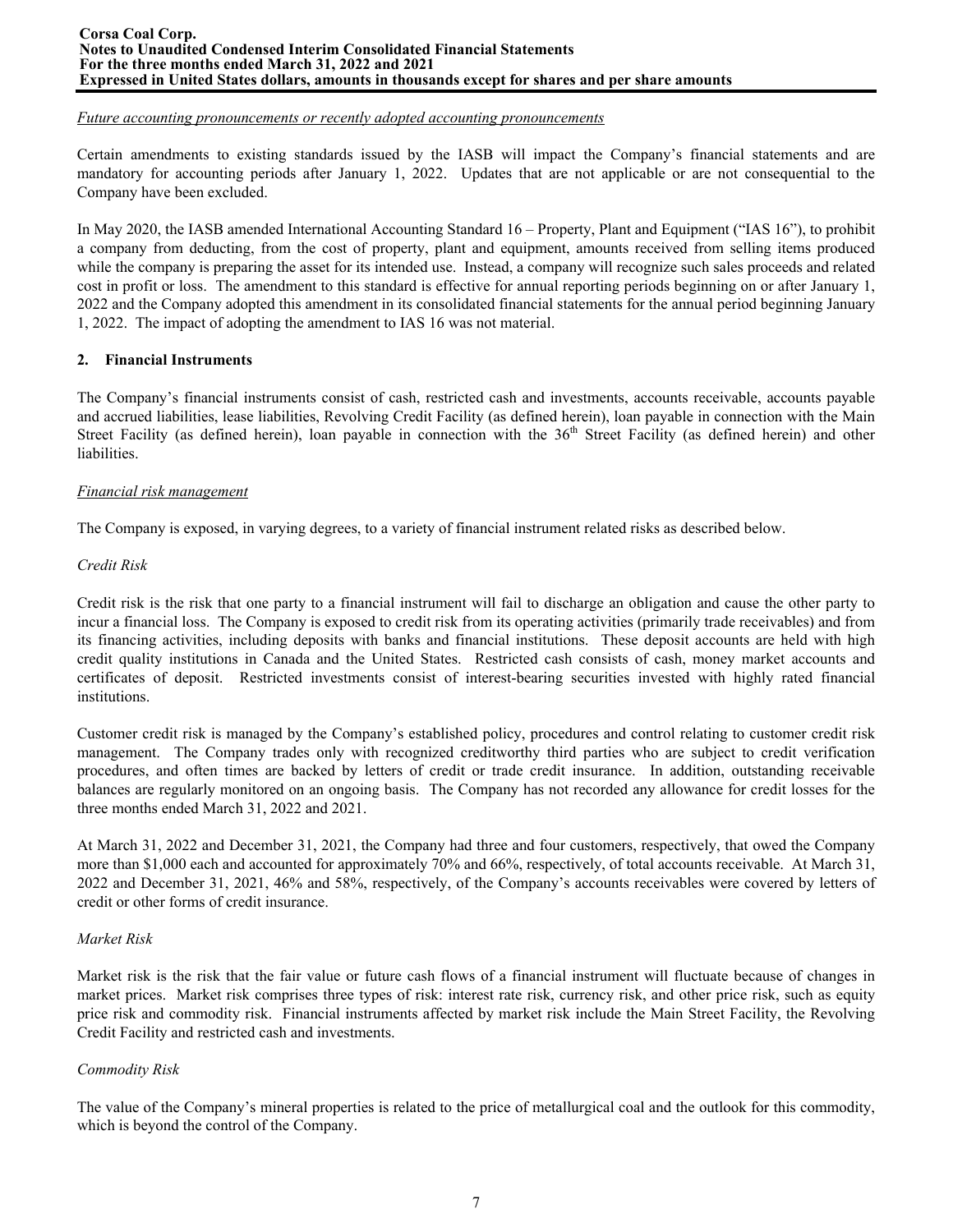#### **Corsa Coal Corp. Notes to Unaudited Condensed Interim Consolidated Financial Statements For the three months ended March 31, 2022 and 2021 Expressed in United States dollars, amounts in thousands except for shares and per share amounts**

#### *Future accounting pronouncements or recently adopted accounting pronouncements*

Certain amendments to existing standards issued by the IASB will impact the Company's financial statements and are mandatory for accounting periods after January 1, 2022. Updates that are not applicable or are not consequential to the Company have been excluded.

In May 2020, the IASB amended International Accounting Standard 16 – Property, Plant and Equipment ("IAS 16"), to prohibit a company from deducting, from the cost of property, plant and equipment, amounts received from selling items produced while the company is preparing the asset for its intended use. Instead, a company will recognize such sales proceeds and related cost in profit or loss. The amendment to this standard is effective for annual reporting periods beginning on or after January 1, 2022 and the Company adopted this amendment in its consolidated financial statements for the annual period beginning January 1, 2022. The impact of adopting the amendment to IAS 16 was not material.

# **2. Financial Instruments**

The Company's financial instruments consist of cash, restricted cash and investments, accounts receivable, accounts payable and accrued liabilities, lease liabilities, Revolving Credit Facility (as defined herein), loan payable in connection with the Main Street Facility (as defined herein), loan payable in connection with the 36<sup>th</sup> Street Facility (as defined herein) and other liabilities.

### *Financial risk management*

The Company is exposed, in varying degrees, to a variety of financial instrument related risks as described below.

### *Credit Risk*

Credit risk is the risk that one party to a financial instrument will fail to discharge an obligation and cause the other party to incur a financial loss. The Company is exposed to credit risk from its operating activities (primarily trade receivables) and from its financing activities, including deposits with banks and financial institutions. These deposit accounts are held with high credit quality institutions in Canada and the United States. Restricted cash consists of cash, money market accounts and certificates of deposit. Restricted investments consist of interest-bearing securities invested with highly rated financial institutions.

Customer credit risk is managed by the Company's established policy, procedures and control relating to customer credit risk management. The Company trades only with recognized creditworthy third parties who are subject to credit verification procedures, and often times are backed by letters of credit or trade credit insurance. In addition, outstanding receivable balances are regularly monitored on an ongoing basis. The Company has not recorded any allowance for credit losses for the three months ended March 31, 2022 and 2021.

At March 31, 2022 and December 31, 2021, the Company had three and four customers, respectively, that owed the Company more than \$1,000 each and accounted for approximately 70% and 66%, respectively, of total accounts receivable. At March 31, 2022 and December 31, 2021, 46% and 58%, respectively, of the Company's accounts receivables were covered by letters of credit or other forms of credit insurance.

#### *Market Risk*

Market risk is the risk that the fair value or future cash flows of a financial instrument will fluctuate because of changes in market prices. Market risk comprises three types of risk: interest rate risk, currency risk, and other price risk, such as equity price risk and commodity risk. Financial instruments affected by market risk include the Main Street Facility, the Revolving Credit Facility and restricted cash and investments.

# *Commodity Risk*

The value of the Company's mineral properties is related to the price of metallurgical coal and the outlook for this commodity, which is beyond the control of the Company.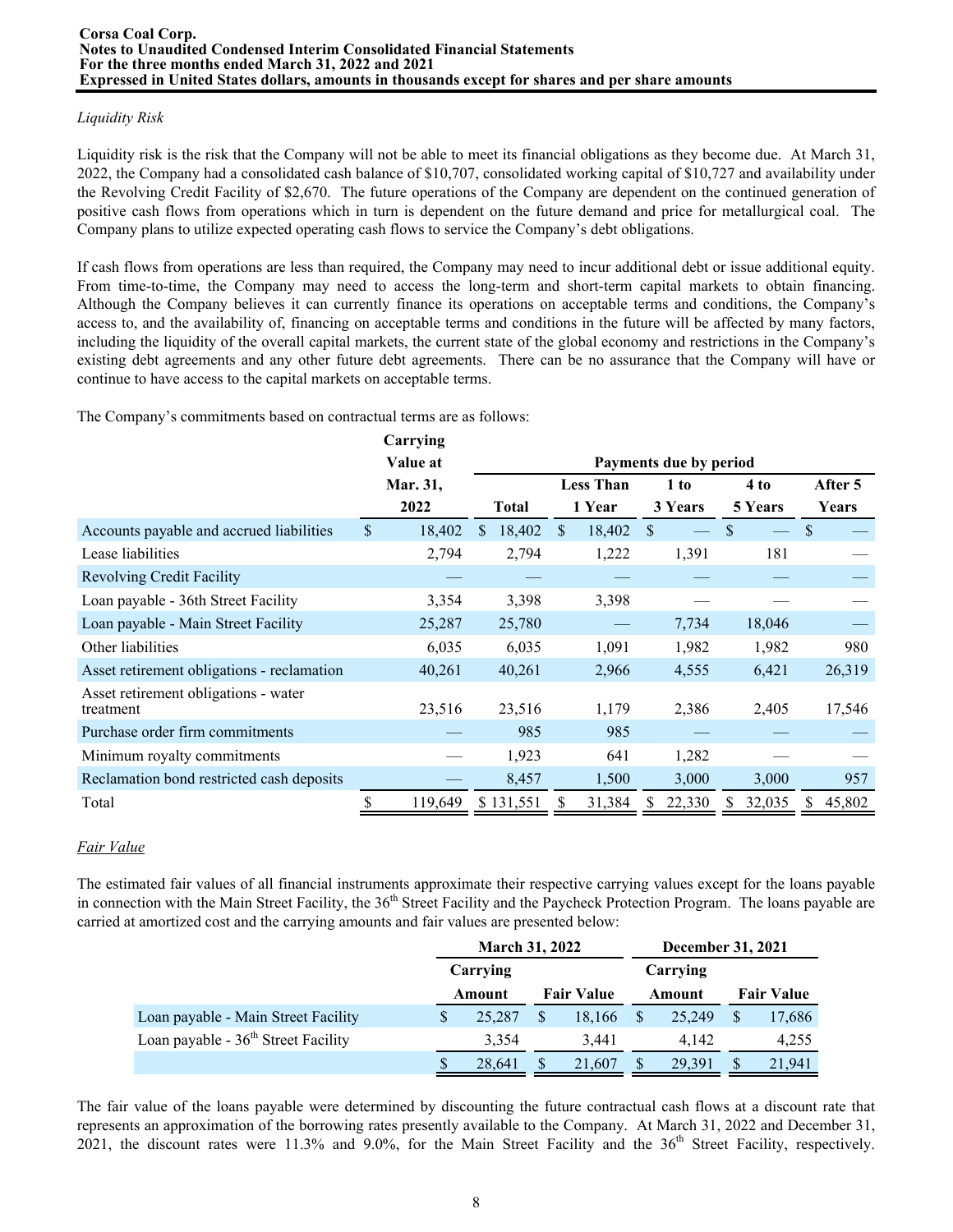# *Liquidity Risk*

Liquidity risk is the risk that the Company will not be able to meet its financial obligations as they become due. At March 31, 2022, the Company had a consolidated cash balance of \$10,707, consolidated working capital of \$10,727 and availability under the Revolving Credit Facility of \$2,670. The future operations of the Company are dependent on the continued generation of positive cash flows from operations which in turn is dependent on the future demand and price for metallurgical coal. The Company plans to utilize expected operating cash flows to service the Company's debt obligations.

If cash flows from operations are less than required, the Company may need to incur additional debt or issue additional equity. From time-to-time, the Company may need to access the long-term and short-term capital markets to obtain financing. Although the Company believes it can currently finance its operations on acceptable terms and conditions, the Company's access to, and the availability of, financing on acceptable terms and conditions in the future will be affected by many factors, including the liquidity of the overall capital markets, the current state of the global economy and restrictions in the Company's existing debt agreements and any other future debt agreements. There can be no assurance that the Company will have or continue to have access to the capital markets on acceptable terms.

The Company's commitments based on contractual terms are as follows:

|                                                   | Carrying     |              |              |     |                  |     |                        |    |         |               |         |
|---------------------------------------------------|--------------|--------------|--------------|-----|------------------|-----|------------------------|----|---------|---------------|---------|
|                                                   | Value at     |              |              |     |                  |     | Payments due by period |    |         |               |         |
|                                                   | Mar. 31,     |              |              |     | <b>Less Than</b> |     | 1 to                   |    | 4 to    |               | After 5 |
|                                                   | 2022         |              | <b>Total</b> |     | 1 Year           |     | 3 Years                |    | 5 Years |               | Years   |
| Accounts payable and accrued liabilities          | \$<br>18,402 | 18,402<br>S. |              | \$. | 18,402           | \$. |                        | \$ |         | <sup>\$</sup> |         |
| Lease liabilities                                 | 2,794        |              | 2,794        |     | 1,222            |     | 1,391                  |    | 181     |               |         |
| <b>Revolving Credit Facility</b>                  |              |              |              |     |                  |     |                        |    |         |               |         |
| Loan payable - 36th Street Facility               | 3,354        |              | 3,398        |     | 3,398            |     |                        |    |         |               |         |
| Loan payable - Main Street Facility               | 25,287       | 25,780       |              |     |                  |     | 7,734                  |    | 18,046  |               |         |
| Other liabilities                                 | 6,035        |              | 6,035        |     | 1,091            |     | 1,982                  |    | 1,982   |               | 980     |
| Asset retirement obligations - reclamation        | 40,261       | 40,261       |              |     | 2,966            |     | 4,555                  |    | 6,421   |               | 26,319  |
| Asset retirement obligations - water<br>treatment | 23,516       | 23,516       |              |     | 1,179            |     | 2,386                  |    | 2,405   |               | 17,546  |
| Purchase order firm commitments                   |              |              | 985          |     | 985              |     |                        |    |         |               |         |
| Minimum royalty commitments                       |              |              | 1,923        |     | 641              |     | 1,282                  |    |         |               |         |
| Reclamation bond restricted cash deposits         |              |              | 8,457        |     | 1,500            |     | 3,000                  |    | 3,000   |               | 957     |
| Total                                             | 119,649      | \$131,551    |              |     | 31,384           | S   | 22,330                 |    | 32,035  | S             | 45,802  |

# *Fair Value*

The estimated fair values of all financial instruments approximate their respective carrying values except for the loans payable in connection with the Main Street Facility, the 36<sup>th</sup> Street Facility and the Paycheck Protection Program. The loans payable are carried at amortized cost and the carrying amounts and fair values are presented below:

|                                       | <b>March 31, 2022</b> |    |                   | <b>December 31, 2021</b> |          |  |                   |  |
|---------------------------------------|-----------------------|----|-------------------|--------------------------|----------|--|-------------------|--|
|                                       | Carrying              |    |                   |                          | Carrying |  |                   |  |
|                                       | Amount                |    | <b>Fair Value</b> |                          | Amount   |  | <b>Fair Value</b> |  |
| Loan payable - Main Street Facility   | 25.287                | \$ | 18.166            |                          | 25.249   |  | 17,686            |  |
| Loan payable - $36th$ Street Facility | 3.354                 |    | 3.441             |                          | 4.142    |  | 4,255             |  |
|                                       | 28.641                | S  | 21.607            |                          | 29.391   |  | 21,941            |  |

The fair value of the loans payable were determined by discounting the future contractual cash flows at a discount rate that represents an approximation of the borrowing rates presently available to the Company. At March 31, 2022 and December 31, 2021, the discount rates were 11.3% and 9.0%, for the Main Street Facility and the 36<sup>th</sup> Street Facility, respectively.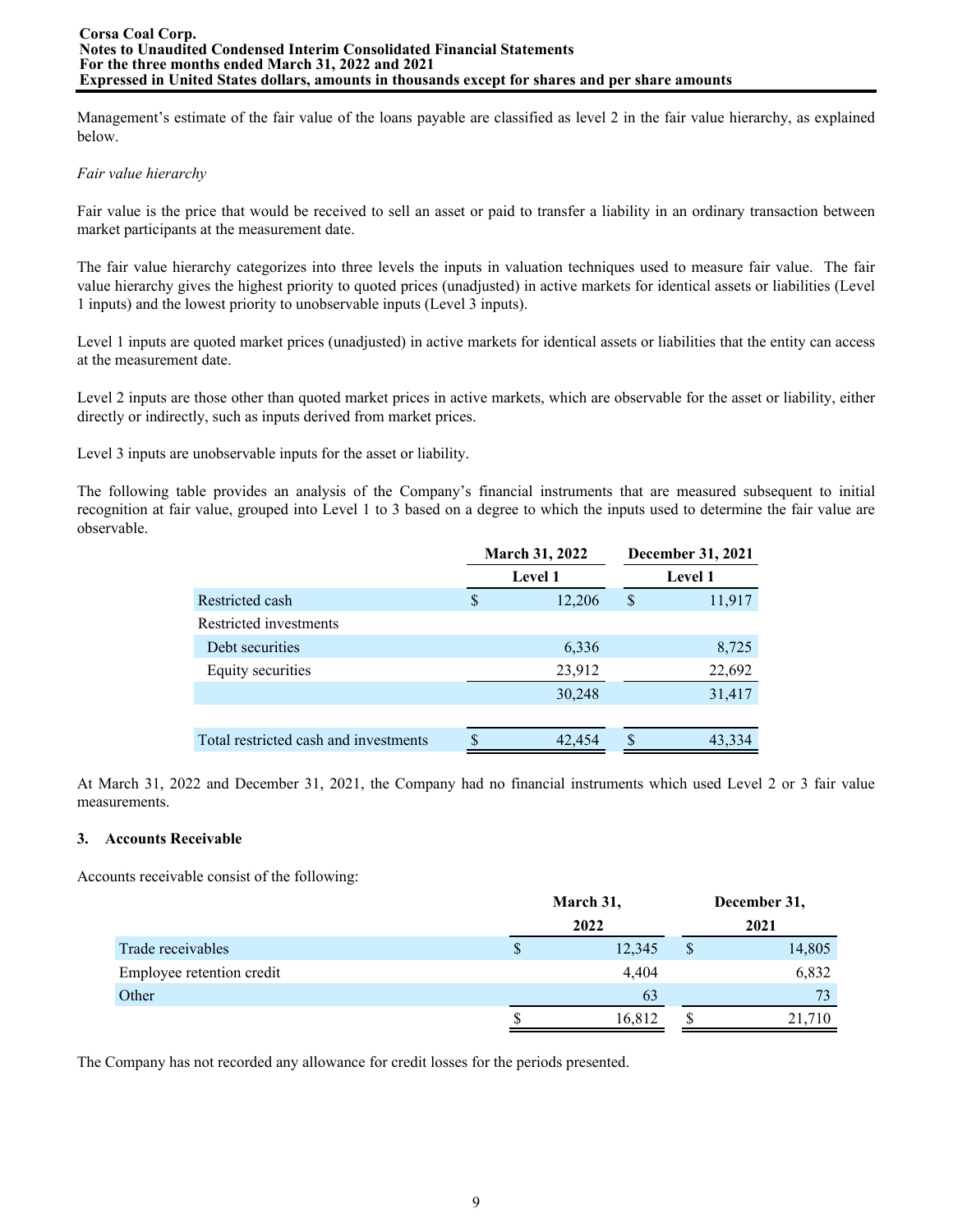Management's estimate of the fair value of the loans payable are classified as level 2 in the fair value hierarchy, as explained below.

### *Fair value hierarchy*

Fair value is the price that would be received to sell an asset or paid to transfer a liability in an ordinary transaction between market participants at the measurement date.

The fair value hierarchy categorizes into three levels the inputs in valuation techniques used to measure fair value. The fair value hierarchy gives the highest priority to quoted prices (unadjusted) in active markets for identical assets or liabilities (Level 1 inputs) and the lowest priority to unobservable inputs (Level 3 inputs).

Level 1 inputs are quoted market prices (unadjusted) in active markets for identical assets or liabilities that the entity can access at the measurement date.

Level 2 inputs are those other than quoted market prices in active markets, which are observable for the asset or liability, either directly or indirectly, such as inputs derived from market prices.

Level 3 inputs are unobservable inputs for the asset or liability.

The following table provides an analysis of the Company's financial instruments that are measured subsequent to initial recognition at fair value, grouped into Level 1 to 3 based on a degree to which the inputs used to determine the fair value are observable.

|                                       |   | <b>March 31, 2022</b> | December 31, 2021 |
|---------------------------------------|---|-----------------------|-------------------|
|                                       |   | <b>Level 1</b>        | <b>Level 1</b>    |
| Restricted cash                       | S | 12,206                | \$<br>11,917      |
| Restricted investments                |   |                       |                   |
| Debt securities                       |   | 6,336                 | 8,725             |
| Equity securities                     |   | 23,912                | 22,692            |
|                                       |   | 30,248                | 31,417            |
|                                       |   |                       |                   |
| Total restricted cash and investments |   | 42,454                | 43,334            |
|                                       |   |                       |                   |

At March 31, 2022 and December 31, 2021, the Company had no financial instruments which used Level 2 or 3 fair value measurements.

# **3. Accounts Receivable**

Accounts receivable consist of the following:

|                           |   | March 31, |      |        |  |
|---------------------------|---|-----------|------|--------|--|
|                           |   | 2022      | 2021 |        |  |
| Trade receivables         | S | 12,345    | \$   | 14,805 |  |
| Employee retention credit |   | 4.404     |      | 6,832  |  |
| Other                     |   | 63        |      | 73     |  |
|                           |   | 16,812    |      | 21,710 |  |

The Company has not recorded any allowance for credit losses for the periods presented.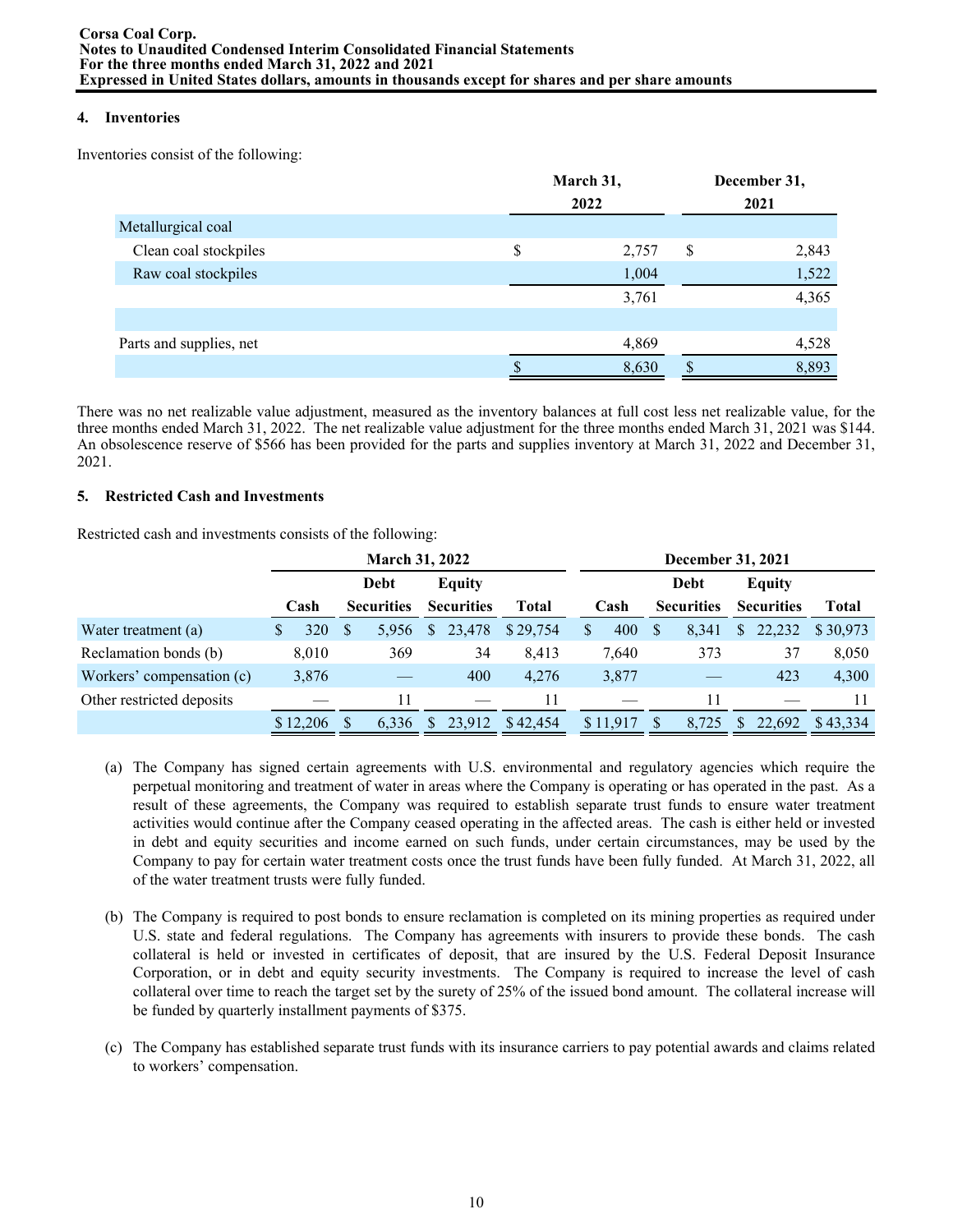# **4. Inventories**

Inventories consist of the following:

|                         | March 31,<br>2022 | December 31,<br>2021 |       |  |  |
|-------------------------|-------------------|----------------------|-------|--|--|
| Metallurgical coal      |                   |                      |       |  |  |
| Clean coal stockpiles   | \$<br>2,757       | \$                   | 2,843 |  |  |
| Raw coal stockpiles     | 1,004             |                      | 1,522 |  |  |
|                         | 3,761             |                      | 4,365 |  |  |
|                         |                   |                      |       |  |  |
| Parts and supplies, net | 4,869             |                      | 4,528 |  |  |
|                         | 8,630             |                      | 8,893 |  |  |

There was no net realizable value adjustment, measured as the inventory balances at full cost less net realizable value, for the three months ended March 31, 2022. The net realizable value adjustment for the three months ended March 31, 2021 was \$144. An obsolescence reserve of \$566 has been provided for the parts and supplies inventory at March 31, 2022 and December 31, 2021.

# **5. Restricted Cash and Investments**

Restricted cash and investments consists of the following:

|                           |    |          |   | <b>March 31, 2022</b> |              |                   |          |              | December 31, 2021 |   |                   |              |                   |              |  |
|---------------------------|----|----------|---|-----------------------|--------------|-------------------|----------|--------------|-------------------|---|-------------------|--------------|-------------------|--------------|--|
|                           |    |          |   | Debt                  |              | Equity            |          |              |                   |   | Debt              |              | <b>Equity</b>     |              |  |
|                           |    | Cash     |   | <b>Securities</b>     |              | <b>Securities</b> | Total    |              | Cash              |   | <b>Securities</b> |              | <b>Securities</b> | <b>Total</b> |  |
| Water treatment (a)       | S. | 320      | S | 5.956                 | <sup>S</sup> | 23,478            | \$29,754 | $\mathbb{S}$ | 400               | S | 8,341             | $\mathbb{S}$ | 22,232            | \$30.973     |  |
| Reclamation bonds (b)     |    | 8,010    |   | 369                   |              | 34                | 8,413    |              | 7,640             |   | 373               |              | 37                | 8,050        |  |
| Workers' compensation (c) |    | 3,876    |   |                       |              | 400               | 4,276    |              | 3,877             |   |                   |              | 423               | 4,300        |  |
| Other restricted deposits |    |          |   | 11                    |              |                   | 11       |              |                   |   | 11                |              |                   |              |  |
|                           |    | \$12,206 |   | 6,336                 | <sup>S</sup> | 23,912            | \$42,454 |              | \$11,917          | S | 8,725             | $\mathbb{S}$ | 22,692            | \$43,334     |  |

- (a) The Company has signed certain agreements with U.S. environmental and regulatory agencies which require the perpetual monitoring and treatment of water in areas where the Company is operating or has operated in the past. As a result of these agreements, the Company was required to establish separate trust funds to ensure water treatment activities would continue after the Company ceased operating in the affected areas. The cash is either held or invested in debt and equity securities and income earned on such funds, under certain circumstances, may be used by the Company to pay for certain water treatment costs once the trust funds have been fully funded. At March 31, 2022, all of the water treatment trusts were fully funded.
- (b) The Company is required to post bonds to ensure reclamation is completed on its mining properties as required under U.S. state and federal regulations. The Company has agreements with insurers to provide these bonds. The cash collateral is held or invested in certificates of deposit, that are insured by the U.S. Federal Deposit Insurance Corporation, or in debt and equity security investments. The Company is required to increase the level of cash collateral over time to reach the target set by the surety of 25% of the issued bond amount. The collateral increase will be funded by quarterly installment payments of \$375.
- (c) The Company has established separate trust funds with its insurance carriers to pay potential awards and claims related to workers' compensation.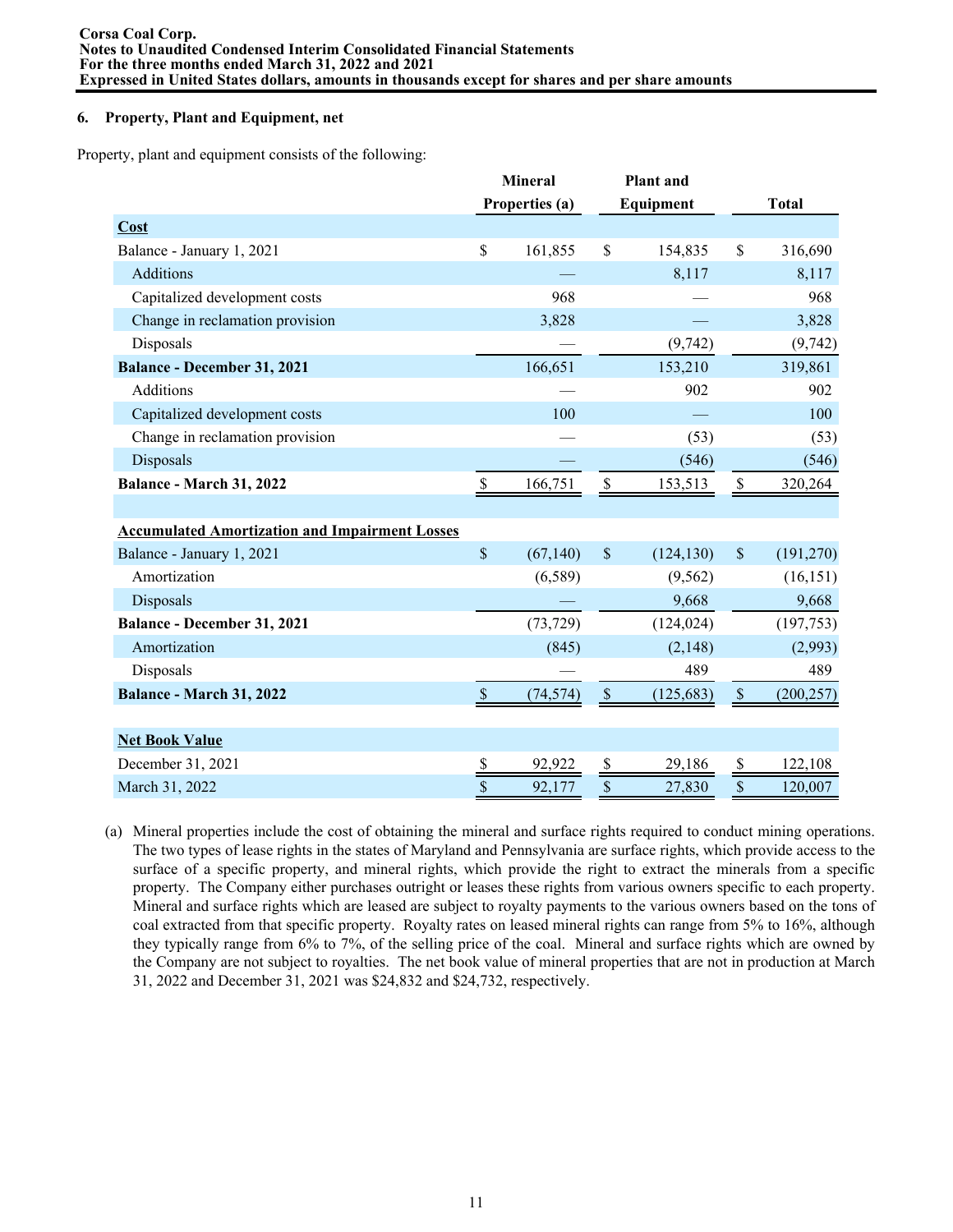### **6. Property, Plant and Equipment, net**

Property, plant and equipment consists of the following:

|                                                       |               | <b>Mineral</b> |               | <b>Plant</b> and |               |              |
|-------------------------------------------------------|---------------|----------------|---------------|------------------|---------------|--------------|
|                                                       |               | Properties (a) |               | Equipment        |               | <b>Total</b> |
| Cost                                                  |               |                |               |                  |               |              |
| Balance - January 1, 2021                             | \$            | 161,855        | $\mathbb{S}$  | 154,835          | \$            | 316,690      |
| <b>Additions</b>                                      |               |                |               | 8,117            |               | 8,117        |
| Capitalized development costs                         |               | 968            |               |                  |               | 968          |
| Change in reclamation provision                       |               | 3,828          |               |                  |               | 3,828        |
| Disposals                                             |               |                |               | (9, 742)         |               | (9, 742)     |
| <b>Balance - December 31, 2021</b>                    |               | 166,651        |               | 153,210          |               | 319,861      |
| <b>Additions</b>                                      |               |                |               | 902              |               | 902          |
| Capitalized development costs                         |               | 100            |               |                  |               | 100          |
| Change in reclamation provision                       |               |                |               | (53)             |               | (53)         |
| Disposals                                             |               |                |               | (546)            |               | (546)        |
| Balance - March 31, 2022                              | \$            | 166,751        | \$            | 153,513          | \$            | 320,264      |
|                                                       |               |                |               |                  |               |              |
| <b>Accumulated Amortization and Impairment Losses</b> |               |                |               |                  |               |              |
| Balance - January 1, 2021                             | $\mathsf{\$}$ | (67, 140)      | $\mathcal{S}$ | (124, 130)       | $\mathcal{S}$ | (191, 270)   |
| Amortization                                          |               | (6,589)        |               | (9, 562)         |               | (16, 151)    |
| Disposals                                             |               |                |               | 9,668            |               | 9,668        |
| Balance - December 31, 2021                           |               | (73, 729)      |               | (124, 024)       |               | (197, 753)   |
| Amortization                                          |               | (845)          |               | (2,148)          |               | (2,993)      |
| Disposals                                             |               |                |               | 489              |               | 489          |
| Balance - March 31, 2022                              | $\mathcal{S}$ | (74, 574)      | $\mathsf{\$}$ | (125, 683)       | $\mathcal{S}$ | (200, 257)   |
|                                                       |               |                |               |                  |               |              |
| <b>Net Book Value</b>                                 |               |                |               |                  |               |              |
| December 31, 2021                                     | \$            | 92,922         | \$            | 29,186           | \$            | 122,108      |
| March 31, 2022                                        | \$            | 92,177         | \$            | 27,830           | \$            | 120,007      |

(a) Mineral properties include the cost of obtaining the mineral and surface rights required to conduct mining operations. The two types of lease rights in the states of Maryland and Pennsylvania are surface rights, which provide access to the surface of a specific property, and mineral rights, which provide the right to extract the minerals from a specific property. The Company either purchases outright or leases these rights from various owners specific to each property. Mineral and surface rights which are leased are subject to royalty payments to the various owners based on the tons of coal extracted from that specific property. Royalty rates on leased mineral rights can range from 5% to 16%, although they typically range from 6% to 7%, of the selling price of the coal. Mineral and surface rights which are owned by the Company are not subject to royalties. The net book value of mineral properties that are not in production at March 31, 2022 and December 31, 2021 was \$24,832 and \$24,732, respectively.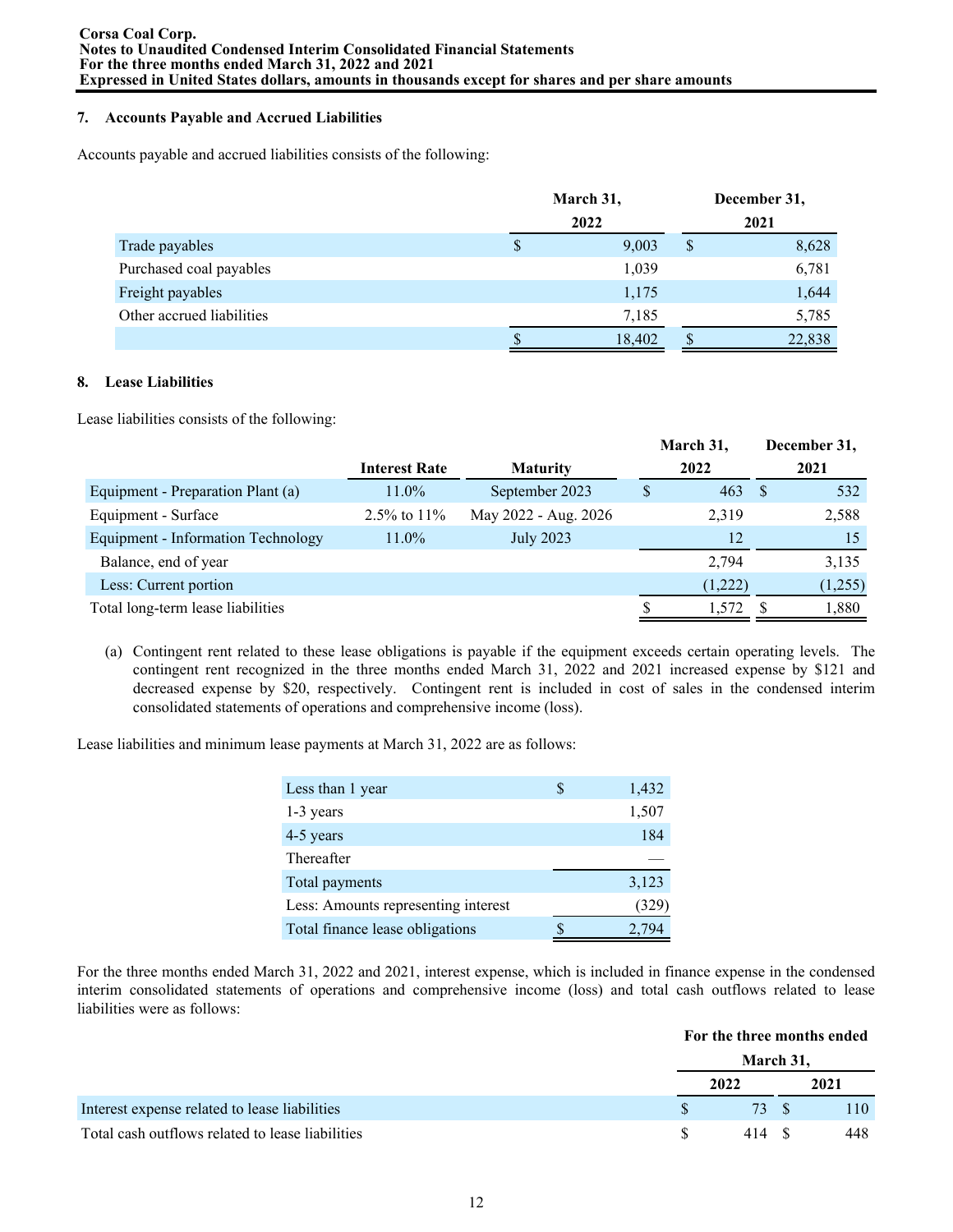# **7. Accounts Payable and Accrued Liabilities**

Accounts payable and accrued liabilities consists of the following:

|                           | March 31, |        |      | December 31, |  |
|---------------------------|-----------|--------|------|--------------|--|
|                           | 2022      |        | 2021 |              |  |
| Trade payables            | \$        | 9,003  | \$   | 8,628        |  |
| Purchased coal payables   |           | 1,039  |      | 6,781        |  |
| Freight payables          |           | 1,175  |      | 1,644        |  |
| Other accrued liabilities |           | 7,185  |      | 5,785        |  |
|                           |           | 18,402 |      | 22,838       |  |

### **8. Lease Liabilities**

Lease liabilities consists of the following:

|                                    |                      |                      | March 31, |      | December 31, |  |
|------------------------------------|----------------------|----------------------|-----------|------|--------------|--|
|                                    | <b>Interest Rate</b> | <b>Maturity</b>      | 2022      | 2021 |              |  |
| Equipment - Preparation Plant (a)  | $11.0\%$             | September 2023       | 463       |      | 532          |  |
| Equipment - Surface                | 2.5% to $11\%$       | May 2022 - Aug. 2026 | 2,319     |      | 2,588        |  |
| Equipment - Information Technology | 11.0%                | <b>July 2023</b>     | 12        |      | 15           |  |
| Balance, end of year               |                      |                      | 2.794     |      | 3,135        |  |
| Less: Current portion              |                      |                      | (1,222)   |      | (1,255)      |  |
| Total long-term lease liabilities  |                      |                      | 1,572     |      | 1,880        |  |

(a) Contingent rent related to these lease obligations is payable if the equipment exceeds certain operating levels. The contingent rent recognized in the three months ended March 31, 2022 and 2021 increased expense by \$121 and decreased expense by \$20, respectively. Contingent rent is included in cost of sales in the condensed interim consolidated statements of operations and comprehensive income (loss).

Lease liabilities and minimum lease payments at March 31, 2022 are as follows:

| Less than 1 year                    | S | 1,432 |
|-------------------------------------|---|-------|
| 1-3 years                           |   | 1,507 |
| 4-5 years                           |   | 184   |
| Thereafter                          |   |       |
| Total payments                      |   | 3,123 |
| Less: Amounts representing interest |   | (329) |
| Total finance lease obligations     |   |       |

For the three months ended March 31, 2022 and 2021, interest expense, which is included in finance expense in the condensed interim consolidated statements of operations and comprehensive income (loss) and total cash outflows related to lease liabilities were as follows:

#### **For the three months ended**

|                                                  | March 31, |      |
|--------------------------------------------------|-----------|------|
|                                                  | 2022      | 2021 |
| Interest expense related to lease liabilities    | 73 S      | 110  |
| Total cash outflows related to lease liabilities | 414 S     | 448  |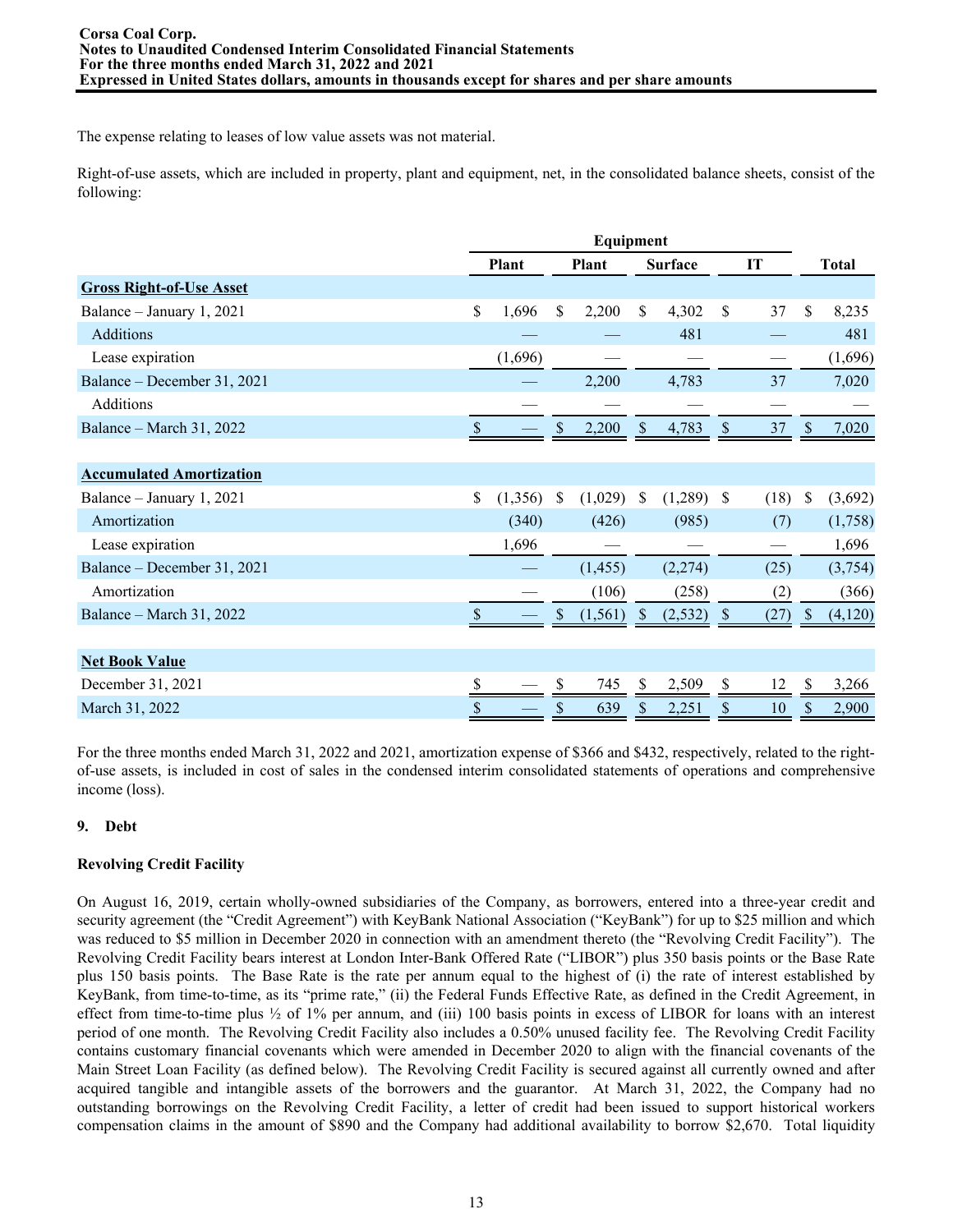The expense relating to leases of low value assets was not material.

Right-of-use assets, which are included in property, plant and equipment, net, in the consolidated balance sheets, consist of the following:

|                                 | Equipment |              |    |              |               |                |               |      |              |              |
|---------------------------------|-----------|--------------|----|--------------|---------------|----------------|---------------|------|--------------|--------------|
|                                 |           | <b>Plant</b> |    | <b>Plant</b> |               | <b>Surface</b> |               | IT   |              | <b>Total</b> |
| <b>Gross Right-of-Use Asset</b> |           |              |    |              |               |                |               |      |              |              |
| Balance – January 1, 2021       | \$        | 1,696        | \$ | 2,200        | \$            | 4,302          | $\mathsf{\$}$ | 37   | \$           | 8,235        |
| Additions                       |           |              |    |              |               | 481            |               |      |              | 481          |
| Lease expiration                |           | (1,696)      |    |              |               |                |               |      |              | (1,696)      |
| Balance – December 31, 2021     |           |              |    | 2,200        |               | 4,783          |               | 37   |              | 7,020        |
| <b>Additions</b>                |           |              |    |              |               |                |               |      |              |              |
| Balance – March 31, 2022        |           |              | \$ | 2,200        | <sup>\$</sup> | 4,783          | \$            | 37   | \$           | 7,020        |
|                                 |           |              |    |              |               |                |               |      |              |              |
| <b>Accumulated Amortization</b> |           |              |    |              |               |                |               |      |              |              |
| Balance – January 1, 2021       | \$        | (1,356)      | \$ | (1,029)      | \$            | (1,289)        | $\mathbb{S}$  | (18) | \$           | (3,692)      |
| Amortization                    |           | (340)        |    | (426)        |               | (985)          |               | (7)  |              | (1,758)      |
| Lease expiration                |           | 1,696        |    |              |               |                |               |      |              | 1,696        |
| Balance – December 31, 2021     |           |              |    | (1, 455)     |               | (2,274)        |               | (25) |              | (3,754)      |
| Amortization                    |           |              |    | (106)        |               | (258)          |               | (2)  |              | (366)        |
| Balance – March 31, 2022        | \$        |              | \$ | (1, 561)     | $\mathbb{S}$  | (2, 532)       | $\mathcal{S}$ | (27) | $\mathbb{S}$ | (4,120)      |
|                                 |           |              |    |              |               |                |               |      |              |              |
| <b>Net Book Value</b>           |           |              |    |              |               |                |               |      |              |              |
| December 31, 2021               |           |              |    | 745          |               | 2,509          |               | 12   |              | 3,266        |
| March 31, 2022                  |           |              |    | 639          |               | 2,251          | S             | 10   |              | 2,900        |
|                                 |           |              |    |              |               |                |               |      |              |              |

For the three months ended March 31, 2022 and 2021, amortization expense of \$366 and \$432, respectively, related to the rightof-use assets, is included in cost of sales in the condensed interim consolidated statements of operations and comprehensive income (loss).

# **9. Debt**

# **Revolving Credit Facility**

On August 16, 2019, certain wholly-owned subsidiaries of the Company, as borrowers, entered into a three-year credit and security agreement (the "Credit Agreement") with KeyBank National Association ("KeyBank") for up to \$25 million and which was reduced to \$5 million in December 2020 in connection with an amendment thereto (the "Revolving Credit Facility"). The Revolving Credit Facility bears interest at London Inter-Bank Offered Rate ("LIBOR") plus 350 basis points or the Base Rate plus 150 basis points. The Base Rate is the rate per annum equal to the highest of (i) the rate of interest established by KeyBank, from time-to-time, as its "prime rate," (ii) the Federal Funds Effective Rate, as defined in the Credit Agreement, in effect from time-to-time plus  $\frac{1}{2}$  of 1% per annum, and (iii) 100 basis points in excess of LIBOR for loans with an interest period of one month. The Revolving Credit Facility also includes a 0.50% unused facility fee. The Revolving Credit Facility contains customary financial covenants which were amended in December 2020 to align with the financial covenants of the Main Street Loan Facility (as defined below). The Revolving Credit Facility is secured against all currently owned and after acquired tangible and intangible assets of the borrowers and the guarantor. At March 31, 2022, the Company had no outstanding borrowings on the Revolving Credit Facility, a letter of credit had been issued to support historical workers compensation claims in the amount of \$890 and the Company had additional availability to borrow \$2,670. Total liquidity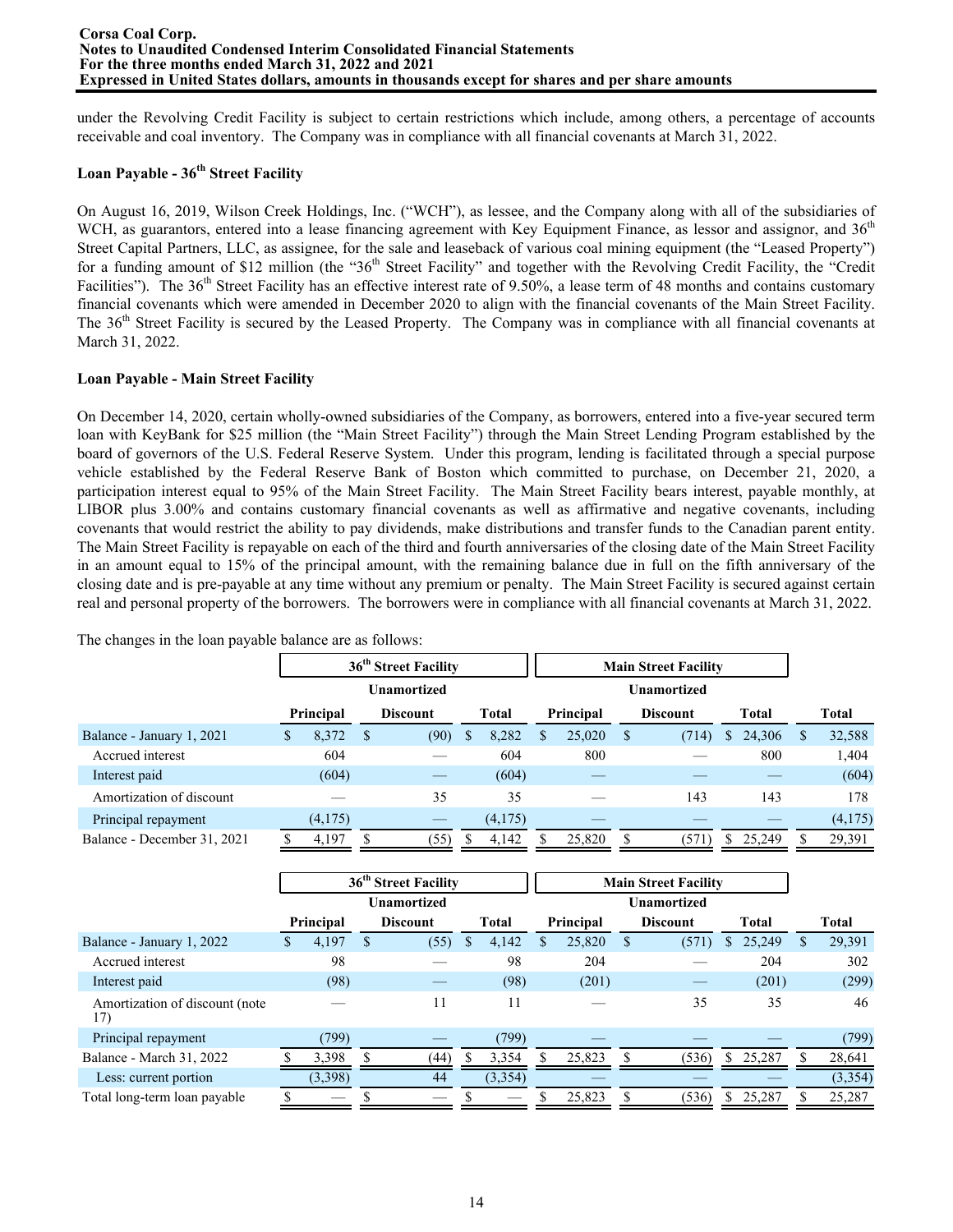under the Revolving Credit Facility is subject to certain restrictions which include, among others, a percentage of accounts receivable and coal inventory. The Company was in compliance with all financial covenants at March 31, 2022.

# **Loan Payable - 36th Street Facility**

On August 16, 2019, Wilson Creek Holdings, Inc. ("WCH"), as lessee, and the Company along with all of the subsidiaries of WCH, as guarantors, entered into a lease financing agreement with Key Equipment Finance, as lessor and assignor, and 36<sup>th</sup> Street Capital Partners, LLC, as assignee, for the sale and leaseback of various coal mining equipment (the "Leased Property") for a funding amount of \$12 million (the "36<sup>th</sup> Street Facility" and together with the Revolving Credit Facility, the "Credit Facilities"). The  $36<sup>th</sup>$  Street Facility has an effective interest rate of 9.50%, a lease term of 48 months and contains customary financial covenants which were amended in December 2020 to align with the financial covenants of the Main Street Facility. The 36<sup>th</sup> Street Facility is secured by the Leased Property. The Company was in compliance with all financial covenants at March 31, 2022.

# **Loan Payable - Main Street Facility**

On December 14, 2020, certain wholly-owned subsidiaries of the Company, as borrowers, entered into a five-year secured term loan with KeyBank for \$25 million (the "Main Street Facility") through the Main Street Lending Program established by the board of governors of the U.S. Federal Reserve System. Under this program, lending is facilitated through a special purpose vehicle established by the Federal Reserve Bank of Boston which committed to purchase, on December 21, 2020, a participation interest equal to 95% of the Main Street Facility. The Main Street Facility bears interest, payable monthly, at LIBOR plus 3.00% and contains customary financial covenants as well as affirmative and negative covenants, including covenants that would restrict the ability to pay dividends, make distributions and transfer funds to the Canadian parent entity. The Main Street Facility is repayable on each of the third and fourth anniversaries of the closing date of the Main Street Facility in an amount equal to 15% of the principal amount, with the remaining balance due in full on the fifth anniversary of the closing date and is pre-payable at any time without any premium or penalty. The Main Street Facility is secured against certain real and personal property of the borrowers. The borrowers were in compliance with all financial covenants at March 31, 2022.

**36th Street Facility Main Street Facility Unamortized Unamortized Principal Discount Total Principal Discount Total Total** Balance - January 1, 2021 \$ 8,372 \$ (90) \$ 8,282 \$ 25,020 \$ (714) \$ 24,306 \$ 32,588 Accrued interest 604 — 604 800 — 800 1,404 Interest paid  $(604)$   $(604)$   $(604)$   $(604)$ Amortization of discount — 35 35 — 143 143 178 Principal repayment  $(4,175)$   $(4,175)$   $(4,175)$ Balance - December 31, 2021 \$ 4,197 \$ (55) \$ 4,142 \$ 25,820 \$ (571) \$ 25,249 \$ 29,391

|                                        |           | 36 <sup>th</sup> Street Facility |              | <b>Main Street Facility</b> |                    |   |                 |    |        |   |              |
|----------------------------------------|-----------|----------------------------------|--------------|-----------------------------|--------------------|---|-----------------|----|--------|---|--------------|
|                                        |           | <b>Unamortized</b>               |              |                             | <b>Unamortized</b> |   |                 |    |        |   |              |
|                                        | Principal | <b>Discount</b>                  | <b>Total</b> |                             | Principal          |   | <b>Discount</b> |    | Total  |   | <b>Total</b> |
| Balance - January 1, 2022              | 4,197     | (55)                             | 4,142        | ς                           | 25,820             | S | (571)           | S. | 25,249 | S | 29,391       |
| Accrued interest                       | 98        |                                  | 98           |                             | 204                |   |                 |    | 204    |   | 302          |
| Interest paid                          | (98)      |                                  | (98)         |                             | (201)              |   |                 |    | (201)  |   | (299)        |
| Amortization of discount (note)<br>17) |           | 11                               | 11           |                             |                    |   | 35              |    | 35     |   | 46           |
| Principal repayment                    | (799)     |                                  | (799)        |                             |                    |   |                 |    |        |   | (799)        |
| Balance - March 31, 2022               | 3,398     | (44)                             | 3,354        |                             | 25,823             |   | (536)           | S. | 25,287 |   | 28,641       |
| Less: current portion                  | (3,398)   | 44                               | (3,354)      |                             |                    |   |                 |    |        |   | (3, 354)     |
| Total long-term loan payable           |           |                                  |              |                             | 25,823             |   | (536)           | S. | 25,287 |   | 25,287       |

The changes in the loan payable balance are as follows: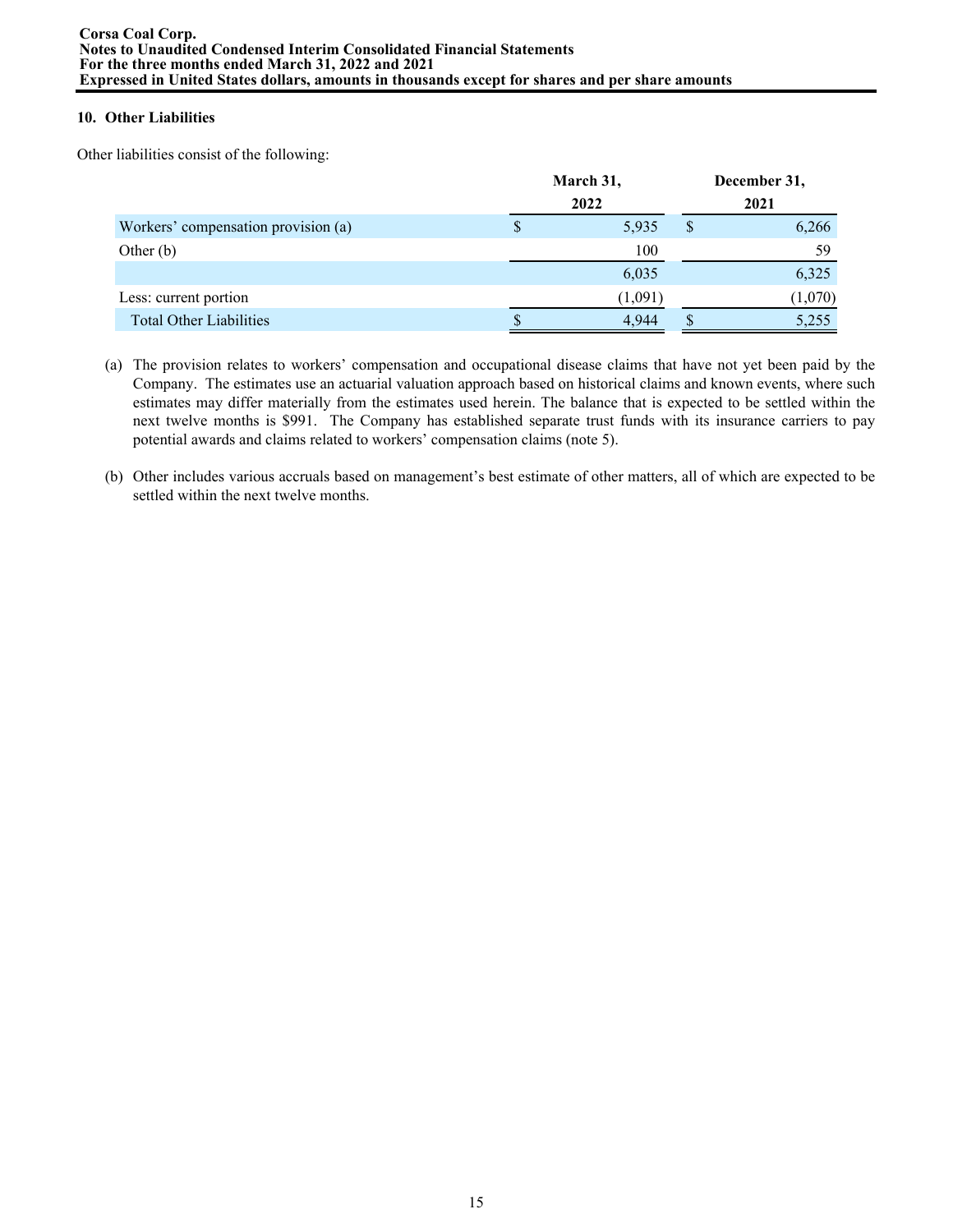# **10. Other Liabilities**

Other liabilities consist of the following:

|                                     |      | March 31, | December 31, |         |  |  |  |
|-------------------------------------|------|-----------|--------------|---------|--|--|--|
|                                     | 2022 | 2021      |              |         |  |  |  |
| Workers' compensation provision (a) | S    | 5.935     | S            | 6,266   |  |  |  |
| Other $(b)$                         |      | 100       |              | 59      |  |  |  |
|                                     |      | 6,035     |              | 6,325   |  |  |  |
| Less: current portion               |      | (1,091)   |              | (1,070) |  |  |  |
| <b>Total Other Liabilities</b>      |      | 4.944     |              | 5,255   |  |  |  |

- (a) The provision relates to workers' compensation and occupational disease claims that have not yet been paid by the Company. The estimates use an actuarial valuation approach based on historical claims and known events, where such estimates may differ materially from the estimates used herein. The balance that is expected to be settled within the next twelve months is \$991. The Company has established separate trust funds with its insurance carriers to pay potential awards and claims related to workers' compensation claims (note 5).
- (b) Other includes various accruals based on management's best estimate of other matters, all of which are expected to be settled within the next twelve months.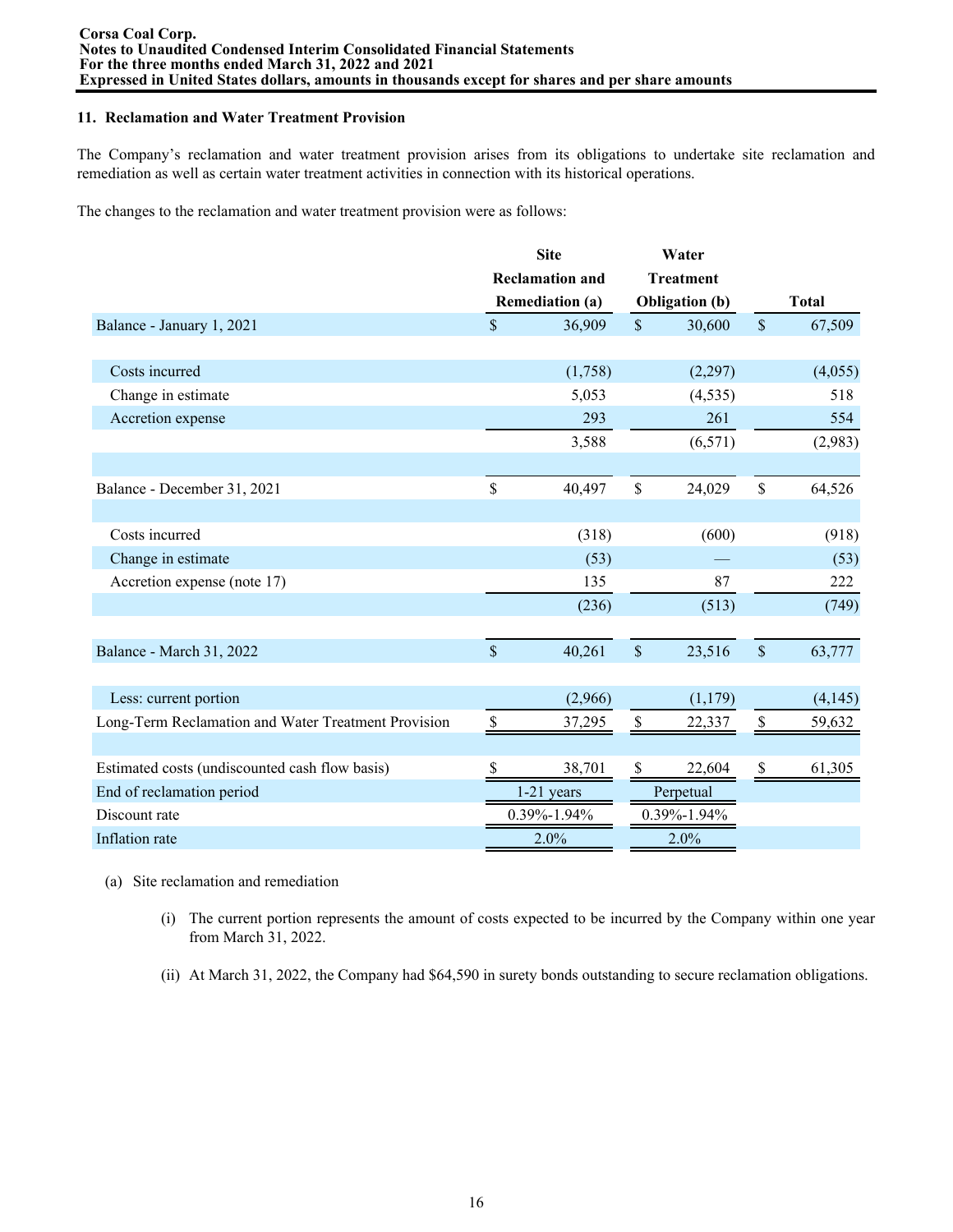### **11. Reclamation and Water Treatment Provision**

The Company's reclamation and water treatment provision arises from its obligations to undertake site reclamation and remediation as well as certain water treatment activities in connection with its historical operations.

The changes to the reclamation and water treatment provision were as follows:

|                                                     | <b>Site</b><br>Water |                        |                           |                       |                           |              |
|-----------------------------------------------------|----------------------|------------------------|---------------------------|-----------------------|---------------------------|--------------|
|                                                     |                      | <b>Reclamation and</b> |                           | <b>Treatment</b>      |                           |              |
|                                                     |                      | <b>Remediation (a)</b> |                           | <b>Obligation</b> (b) |                           | <b>Total</b> |
| Balance - January 1, 2021                           | $\mathsf{\$}$        | 36,909                 | $\mathsf{\$}$             | 30,600                | $\mathsf{\$}$             | 67,509       |
|                                                     |                      |                        |                           |                       |                           |              |
| Costs incurred                                      |                      | (1,758)                |                           | (2,297)               |                           | (4,055)      |
| Change in estimate                                  |                      | 5,053                  |                           | (4, 535)              |                           | 518          |
| Accretion expense                                   |                      | 293                    |                           | 261                   |                           | 554          |
|                                                     |                      | 3,588                  |                           | (6, 571)              |                           | (2,983)      |
|                                                     |                      |                        |                           |                       |                           |              |
| Balance - December 31, 2021                         | \$                   | 40,497                 | \$                        | 24,029                | $\mathsf{\$}$             | 64,526       |
|                                                     |                      |                        |                           |                       |                           |              |
| Costs incurred                                      |                      | (318)                  |                           | (600)                 |                           | (918)        |
| Change in estimate                                  |                      | (53)                   |                           |                       |                           | (53)         |
| Accretion expense (note 17)                         |                      | 135                    |                           | 87                    |                           | 222          |
|                                                     |                      | (236)                  |                           | (513)                 |                           | (749)        |
|                                                     |                      |                        |                           |                       |                           |              |
| Balance - March 31, 2022                            | $\mathbf{\hat{S}}$   | 40,261                 | $\mathsf{\$}$             | 23,516                | $\mathsf{\$}$             | 63,777       |
|                                                     |                      |                        |                           |                       |                           |              |
| Less: current portion                               |                      | (2,966)                |                           | (1,179)               |                           | (4,145)      |
| Long-Term Reclamation and Water Treatment Provision | \$                   | 37,295                 | $\boldsymbol{\mathsf{S}}$ | 22,337                | $\$$                      | 59,632       |
|                                                     |                      |                        |                           |                       |                           |              |
| Estimated costs (undiscounted cash flow basis)      | S                    | 38,701                 | \$                        | 22,604                | $\boldsymbol{\mathsf{S}}$ | 61,305       |
| End of reclamation period                           |                      | $1-21$ years           |                           | Perpetual             |                           |              |
| Discount rate                                       |                      | 0.39%-1.94%            |                           | 0.39%-1.94%           |                           |              |
| Inflation rate                                      |                      | 2.0%                   |                           | 2.0%                  |                           |              |

- (a) Site reclamation and remediation
	- (i) The current portion represents the amount of costs expected to be incurred by the Company within one year from March 31, 2022.
	- (ii) At March 31, 2022, the Company had \$64,590 in surety bonds outstanding to secure reclamation obligations.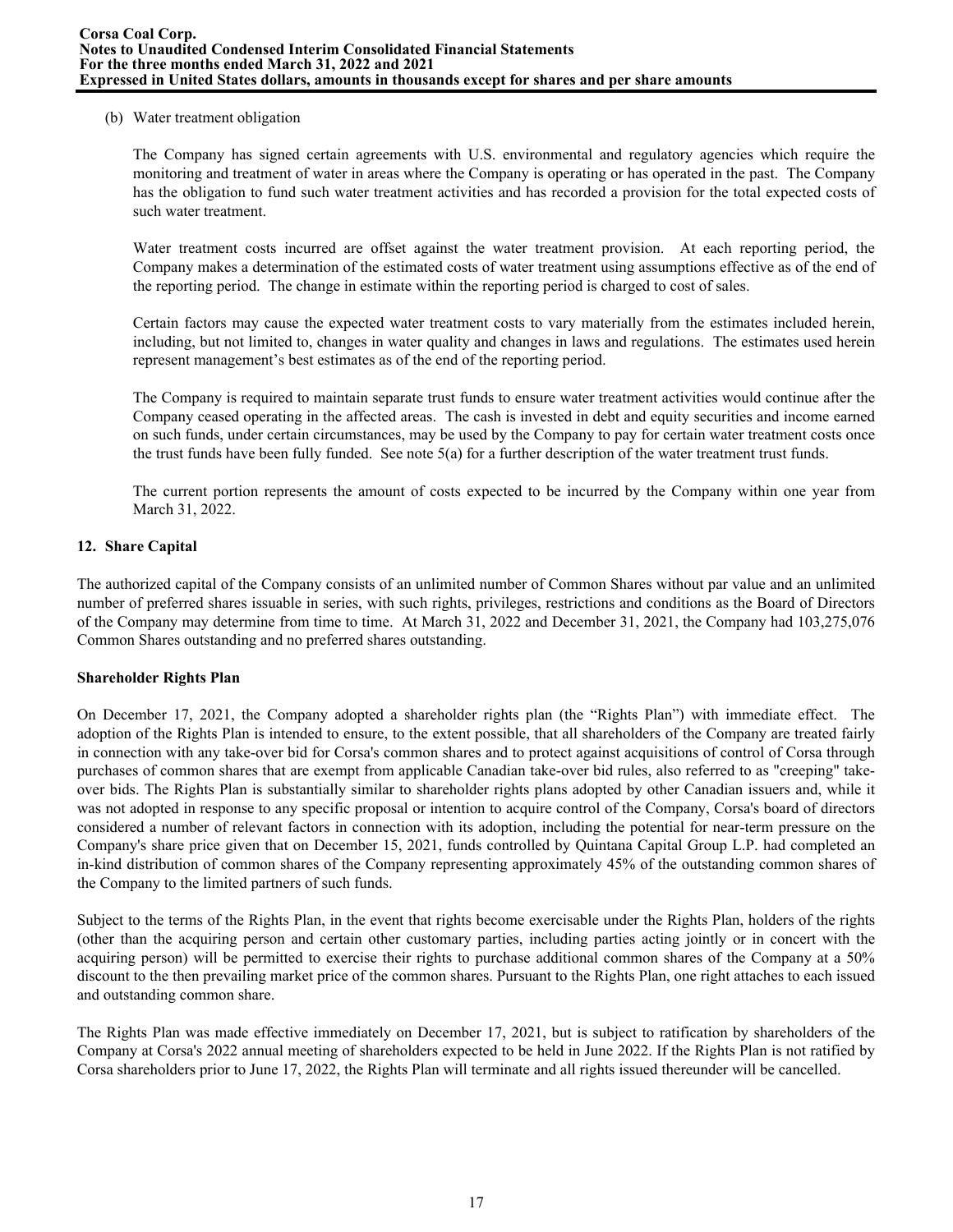### (b) Water treatment obligation

The Company has signed certain agreements with U.S. environmental and regulatory agencies which require the monitoring and treatment of water in areas where the Company is operating or has operated in the past. The Company has the obligation to fund such water treatment activities and has recorded a provision for the total expected costs of such water treatment.

Water treatment costs incurred are offset against the water treatment provision. At each reporting period, the Company makes a determination of the estimated costs of water treatment using assumptions effective as of the end of the reporting period. The change in estimate within the reporting period is charged to cost of sales.

Certain factors may cause the expected water treatment costs to vary materially from the estimates included herein, including, but not limited to, changes in water quality and changes in laws and regulations. The estimates used herein represent management's best estimates as of the end of the reporting period.

The Company is required to maintain separate trust funds to ensure water treatment activities would continue after the Company ceased operating in the affected areas. The cash is invested in debt and equity securities and income earned on such funds, under certain circumstances, may be used by the Company to pay for certain water treatment costs once the trust funds have been fully funded. See note  $5(a)$  for a further description of the water treatment trust funds.

The current portion represents the amount of costs expected to be incurred by the Company within one year from March 31, 2022.

# **12. Share Capital**

The authorized capital of the Company consists of an unlimited number of Common Shares without par value and an unlimited number of preferred shares issuable in series, with such rights, privileges, restrictions and conditions as the Board of Directors of the Company may determine from time to time. At March 31, 2022 and December 31, 2021, the Company had 103,275,076 Common Shares outstanding and no preferred shares outstanding.

# **Shareholder Rights Plan**

On December 17, 2021, the Company adopted a shareholder rights plan (the "Rights Plan") with immediate effect. The adoption of the Rights Plan is intended to ensure, to the extent possible, that all shareholders of the Company are treated fairly in connection with any take-over bid for Corsa's common shares and to protect against acquisitions of control of Corsa through purchases of common shares that are exempt from applicable Canadian take-over bid rules, also referred to as "creeping" takeover bids. The Rights Plan is substantially similar to shareholder rights plans adopted by other Canadian issuers and, while it was not adopted in response to any specific proposal or intention to acquire control of the Company, Corsa's board of directors considered a number of relevant factors in connection with its adoption, including the potential for near-term pressure on the Company's share price given that on December 15, 2021, funds controlled by Quintana Capital Group L.P. had completed an in-kind distribution of common shares of the Company representing approximately 45% of the outstanding common shares of the Company to the limited partners of such funds.

Subject to the terms of the Rights Plan, in the event that rights become exercisable under the Rights Plan, holders of the rights (other than the acquiring person and certain other customary parties, including parties acting jointly or in concert with the acquiring person) will be permitted to exercise their rights to purchase additional common shares of the Company at a 50% discount to the then prevailing market price of the common shares. Pursuant to the Rights Plan, one right attaches to each issued and outstanding common share.

The Rights Plan was made effective immediately on December 17, 2021, but is subject to ratification by shareholders of the Company at Corsa's 2022 annual meeting of shareholders expected to be held in June 2022. If the Rights Plan is not ratified by Corsa shareholders prior to June 17, 2022, the Rights Plan will terminate and all rights issued thereunder will be cancelled.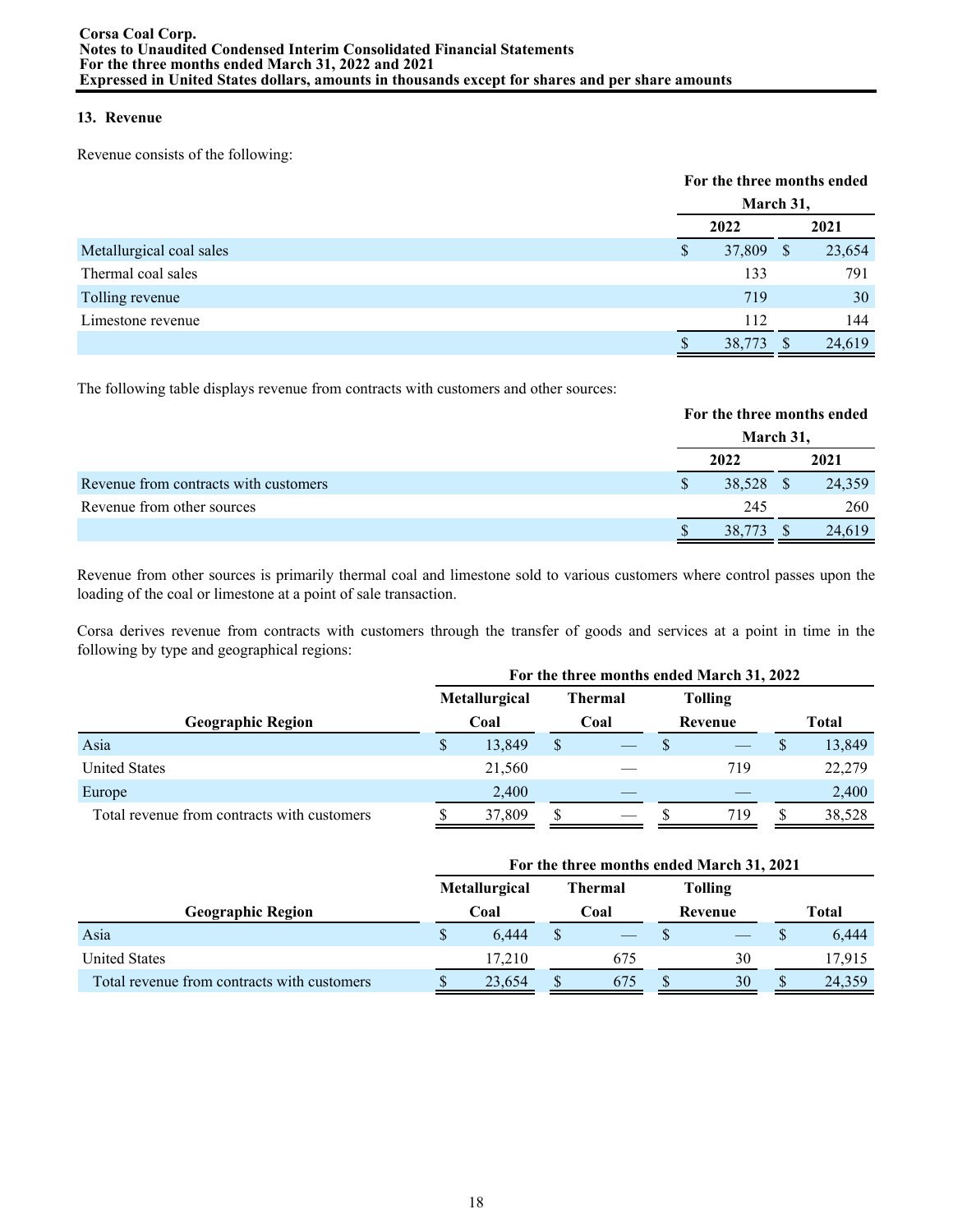# **13. Revenue**

Revenue consists of the following:

|                          |               | For the three months ended |              |        |  |  |  |
|--------------------------|---------------|----------------------------|--------------|--------|--|--|--|
|                          |               | March 31,                  |              |        |  |  |  |
|                          |               | 2022                       |              | 2021   |  |  |  |
| Metallurgical coal sales | <sup>\$</sup> | 37,809                     | <sup>S</sup> | 23,654 |  |  |  |
| Thermal coal sales       |               | 133                        |              | 791    |  |  |  |
| Tolling revenue          |               | 719                        |              | 30     |  |  |  |
| Limestone revenue        |               | 112                        |              | 144    |  |  |  |
|                          |               | 38,773                     |              | 24,619 |  |  |  |

The following table displays revenue from contracts with customers and other sources:

|                                       | For the three months ended |  |        |  |  |  |
|---------------------------------------|----------------------------|--|--------|--|--|--|
|                                       | March 31,                  |  |        |  |  |  |
|                                       | 2022                       |  | 2021   |  |  |  |
| Revenue from contracts with customers | 38,528 \$                  |  | 24,359 |  |  |  |
| Revenue from other sources            | 245                        |  | 260    |  |  |  |
|                                       | 38,773                     |  | 24,619 |  |  |  |

Revenue from other sources is primarily thermal coal and limestone sold to various customers where control passes upon the loading of the coal or limestone at a point of sale transaction.

Corsa derives revenue from contracts with customers through the transfer of goods and services at a point in time in the following by type and geographical regions:

|                                             |                                        |        | For the three months ended March 31, 2022 |                 |  |                |       |        |  |  |
|---------------------------------------------|----------------------------------------|--------|-------------------------------------------|-----------------|--|----------------|-------|--------|--|--|
|                                             | <b>Metallurgical</b><br><b>Thermal</b> |        |                                           |                 |  | <b>Tolling</b> |       |        |  |  |
| <b>Geographic Region</b>                    | Coal                                   |        |                                           | Coal<br>Revenue |  |                | Total |        |  |  |
| Asia                                        | S                                      | 13,849 |                                           |                 |  |                |       | 13,849 |  |  |
| <b>United States</b>                        |                                        | 21,560 |                                           |                 |  | 719            |       | 22,279 |  |  |
| Europe                                      |                                        | 2,400  |                                           |                 |  |                |       | 2,400  |  |  |
| Total revenue from contracts with customers |                                        | 37,809 |                                           |                 |  | 719            |       | 38,528 |  |  |

|                                             | For the three months ended March 31, 2021                |        |         |     |       |    |  |        |  |  |  |  |
|---------------------------------------------|----------------------------------------------------------|--------|---------|-----|-------|----|--|--------|--|--|--|--|
|                                             | <b>Metallurgical</b><br><b>Tolling</b><br><b>Thermal</b> |        |         |     |       |    |  |        |  |  |  |  |
| Geographic Region                           | Coal<br>Coal                                             |        | Revenue |     | Total |    |  |        |  |  |  |  |
| Asia                                        | \$                                                       | 6.444  |         |     |       |    |  | 6,444  |  |  |  |  |
| <b>United States</b>                        |                                                          | 17.210 |         | 675 |       | 30 |  | 17,915 |  |  |  |  |
| Total revenue from contracts with customers |                                                          | 23,654 |         | 6/5 |       | 30 |  | 24,359 |  |  |  |  |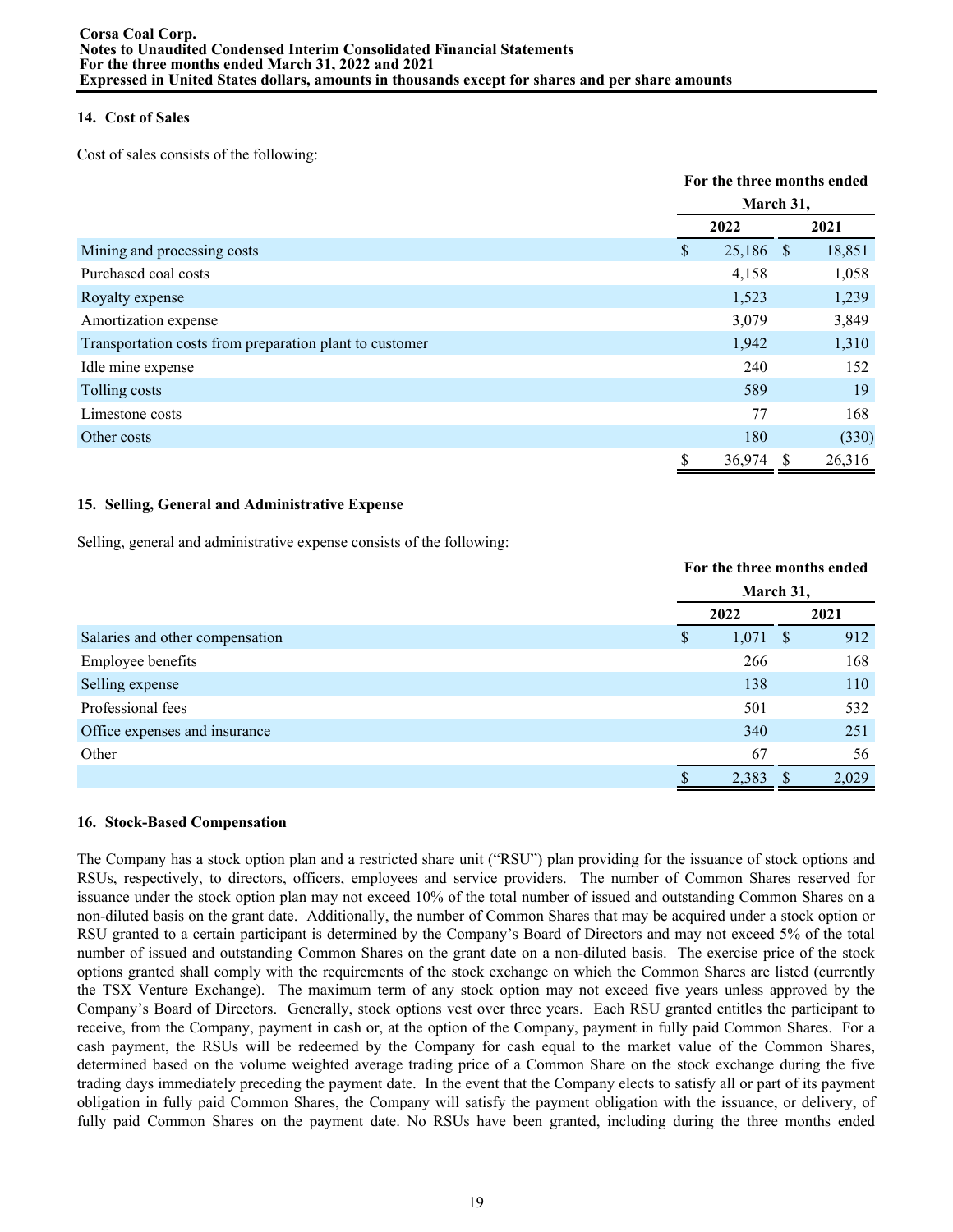# **14. Cost of Sales**

Cost of sales consists of the following:

|                                                         |               | For the three months ended |   |        |  |
|---------------------------------------------------------|---------------|----------------------------|---|--------|--|
|                                                         |               | March 31,                  |   |        |  |
|                                                         |               | 2022                       |   | 2021   |  |
| Mining and processing costs                             | <sup>\$</sup> | 25,186 \$                  |   | 18,851 |  |
| Purchased coal costs                                    |               | 4,158                      |   | 1,058  |  |
| Royalty expense                                         |               | 1,523                      |   | 1,239  |  |
| Amortization expense                                    |               | 3,079                      |   | 3,849  |  |
| Transportation costs from preparation plant to customer |               | 1,942                      |   | 1,310  |  |
| Idle mine expense                                       |               | 240                        |   | 152    |  |
| Tolling costs                                           |               | 589                        |   | 19     |  |
| Limestone costs                                         |               | 77                         |   | 168    |  |
| Other costs                                             |               | 180                        |   | (330)  |  |
|                                                         |               | 36,974                     | S | 26,316 |  |

# **15. Selling, General and Administrative Expense**

Selling, general and administrative expense consists of the following:

|                                 |   | For the three months ended |  |       |  |
|---------------------------------|---|----------------------------|--|-------|--|
|                                 |   | March 31,                  |  |       |  |
|                                 |   | 2022                       |  | 2021  |  |
| Salaries and other compensation | S | $1,071$ \$                 |  | 912   |  |
| Employee benefits               |   | 266                        |  | 168   |  |
| Selling expense                 |   | 138                        |  | 110   |  |
| Professional fees               |   | 501                        |  | 532   |  |
| Office expenses and insurance   |   | 340                        |  | 251   |  |
| Other                           |   | 67                         |  | 56    |  |
|                                 |   | 2,383                      |  | 2,029 |  |

# **16. Stock-Based Compensation**

The Company has a stock option plan and a restricted share unit ("RSU") plan providing for the issuance of stock options and RSUs, respectively, to directors, officers, employees and service providers. The number of Common Shares reserved for issuance under the stock option plan may not exceed 10% of the total number of issued and outstanding Common Shares on a non-diluted basis on the grant date. Additionally, the number of Common Shares that may be acquired under a stock option or RSU granted to a certain participant is determined by the Company's Board of Directors and may not exceed 5% of the total number of issued and outstanding Common Shares on the grant date on a non-diluted basis. The exercise price of the stock options granted shall comply with the requirements of the stock exchange on which the Common Shares are listed (currently the TSX Venture Exchange). The maximum term of any stock option may not exceed five years unless approved by the Company's Board of Directors. Generally, stock options vest over three years. Each RSU granted entitles the participant to receive, from the Company, payment in cash or, at the option of the Company, payment in fully paid Common Shares. For a cash payment, the RSUs will be redeemed by the Company for cash equal to the market value of the Common Shares, determined based on the volume weighted average trading price of a Common Share on the stock exchange during the five trading days immediately preceding the payment date. In the event that the Company elects to satisfy all or part of its payment obligation in fully paid Common Shares, the Company will satisfy the payment obligation with the issuance, or delivery, of fully paid Common Shares on the payment date. No RSUs have been granted, including during the three months ended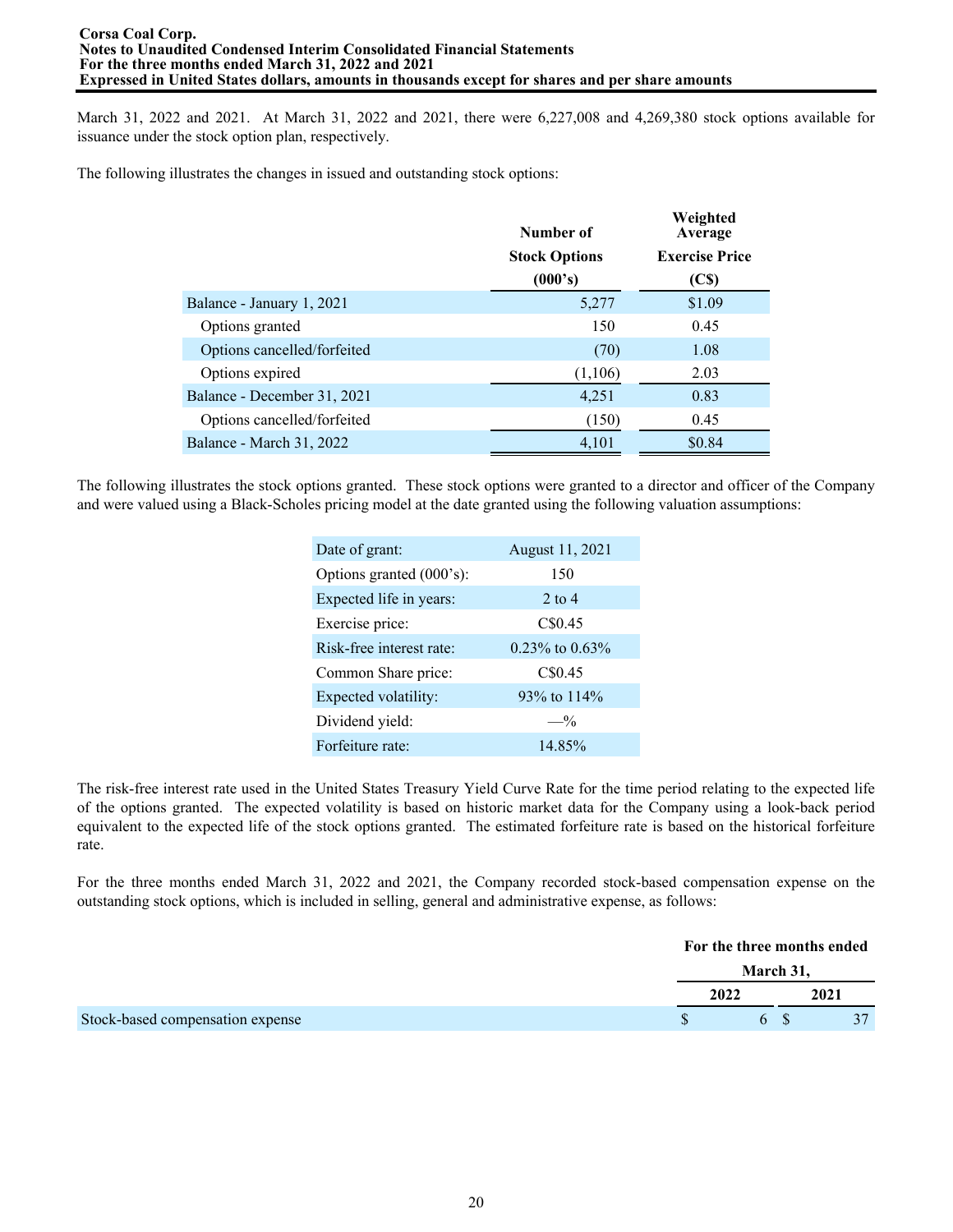March 31, 2022 and 2021. At March 31, 2022 and 2021, there were 6,227,008 and 4,269,380 stock options available for issuance under the stock option plan, respectively.

The following illustrates the changes in issued and outstanding stock options:

|                             | Number of            | Weighted<br>Average   |
|-----------------------------|----------------------|-----------------------|
|                             | <b>Stock Options</b> | <b>Exercise Price</b> |
|                             | (000's)              | (C <sub>s</sub> )     |
| Balance - January 1, 2021   | 5,277                | \$1.09                |
| Options granted             | 150                  | 0.45                  |
| Options cancelled/forfeited | (70)                 | 1.08                  |
| Options expired             | (1,106)              | 2.03                  |
| Balance - December 31, 2021 | 4,251                | 0.83                  |
| Options cancelled/forfeited | (150)                | 0.45                  |
| Balance - March 31, 2022    | 4,101                | \$0.84                |

The following illustrates the stock options granted. These stock options were granted to a director and officer of the Company and were valued using a Black-Scholes pricing model at the date granted using the following valuation assumptions:

| Date of grant:           | August 11, 2021 |
|--------------------------|-----------------|
| Options granted (000's): | 150             |
| Expected life in years:  | $2$ to $4$      |
| Exercise price:          | C\$0.45         |
| Risk-free interest rate: | 0.23% to 0.63%  |
| Common Share price:      | C\$0.45         |
| Expected volatility:     | 93% to 114%     |
| Dividend yield:          | $- \frac{0}{0}$ |
| Forfeiture rate:         | 14.85%          |

The risk-free interest rate used in the United States Treasury Yield Curve Rate for the time period relating to the expected life of the options granted. The expected volatility is based on historic market data for the Company using a look-back period equivalent to the expected life of the stock options granted. The estimated forfeiture rate is based on the historical forfeiture rate.

For the three months ended March 31, 2022 and 2021, the Company recorded stock-based compensation expense on the outstanding stock options, which is included in selling, general and administrative expense, as follows:

|                                  | For the three months ended |      |
|----------------------------------|----------------------------|------|
|                                  | March 31,                  |      |
|                                  | 2022                       | 2021 |
| Stock-based compensation expense | 6                          |      |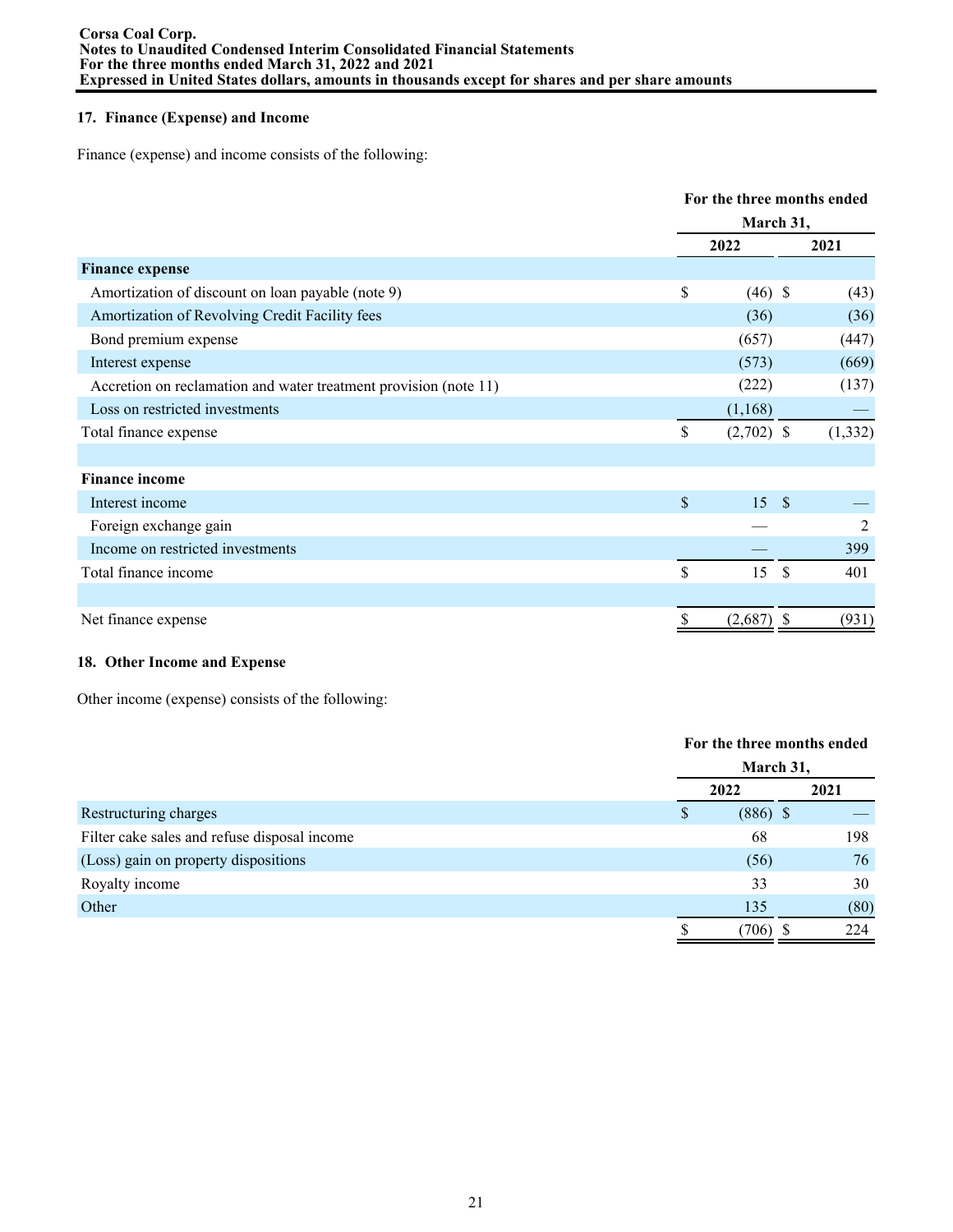# **17. Finance (Expense) and Income**

Finance (expense) and income consists of the following:

|                                                                  |               | For the three months ended<br>March 31, |               |                |  |
|------------------------------------------------------------------|---------------|-----------------------------------------|---------------|----------------|--|
|                                                                  |               |                                         |               |                |  |
|                                                                  |               | 2022                                    |               | 2021           |  |
| <b>Finance expense</b>                                           |               |                                         |               |                |  |
| Amortization of discount on loan payable (note 9)                | \$            | $(46)$ \$                               |               | (43)           |  |
| Amortization of Revolving Credit Facility fees                   |               | (36)                                    |               | (36)           |  |
| Bond premium expense                                             |               | (657)                                   |               | (447)          |  |
| Interest expense                                                 |               | (573)                                   |               | (669)          |  |
| Accretion on reclamation and water treatment provision (note 11) |               | (222)                                   |               | (137)          |  |
| Loss on restricted investments                                   |               | (1,168)                                 |               |                |  |
| Total finance expense                                            | \$            | $(2,702)$ \$                            |               | (1, 332)       |  |
|                                                                  |               |                                         |               |                |  |
| <b>Finance income</b>                                            |               |                                         |               |                |  |
| Interest income                                                  | \$            | 15S                                     |               |                |  |
| Foreign exchange gain                                            |               |                                         |               | $\overline{2}$ |  |
| Income on restricted investments                                 |               |                                         |               | 399            |  |
| Total finance income                                             | $\mathsf{\$}$ | 15                                      | <sup>\$</sup> | 401            |  |
|                                                                  |               |                                         |               |                |  |
| Net finance expense                                              | \$            | $(2,687)$ \$                            |               | (931)          |  |

# **18. Other Income and Expense**

Other income (expense) consists of the following:

|                                              |   | For the three months ended |  |      |  |
|----------------------------------------------|---|----------------------------|--|------|--|
|                                              |   | March 31,                  |  |      |  |
|                                              |   | 2022                       |  | 2021 |  |
| Restructuring charges                        | S | $(886)$ \$                 |  |      |  |
| Filter cake sales and refuse disposal income |   | 68                         |  | 198  |  |
| (Loss) gain on property dispositions         |   | (56)                       |  | 76   |  |
| Royalty income                               |   | 33                         |  | 30   |  |
| Other                                        |   | 135                        |  | (80) |  |
|                                              |   | 706)                       |  | 224  |  |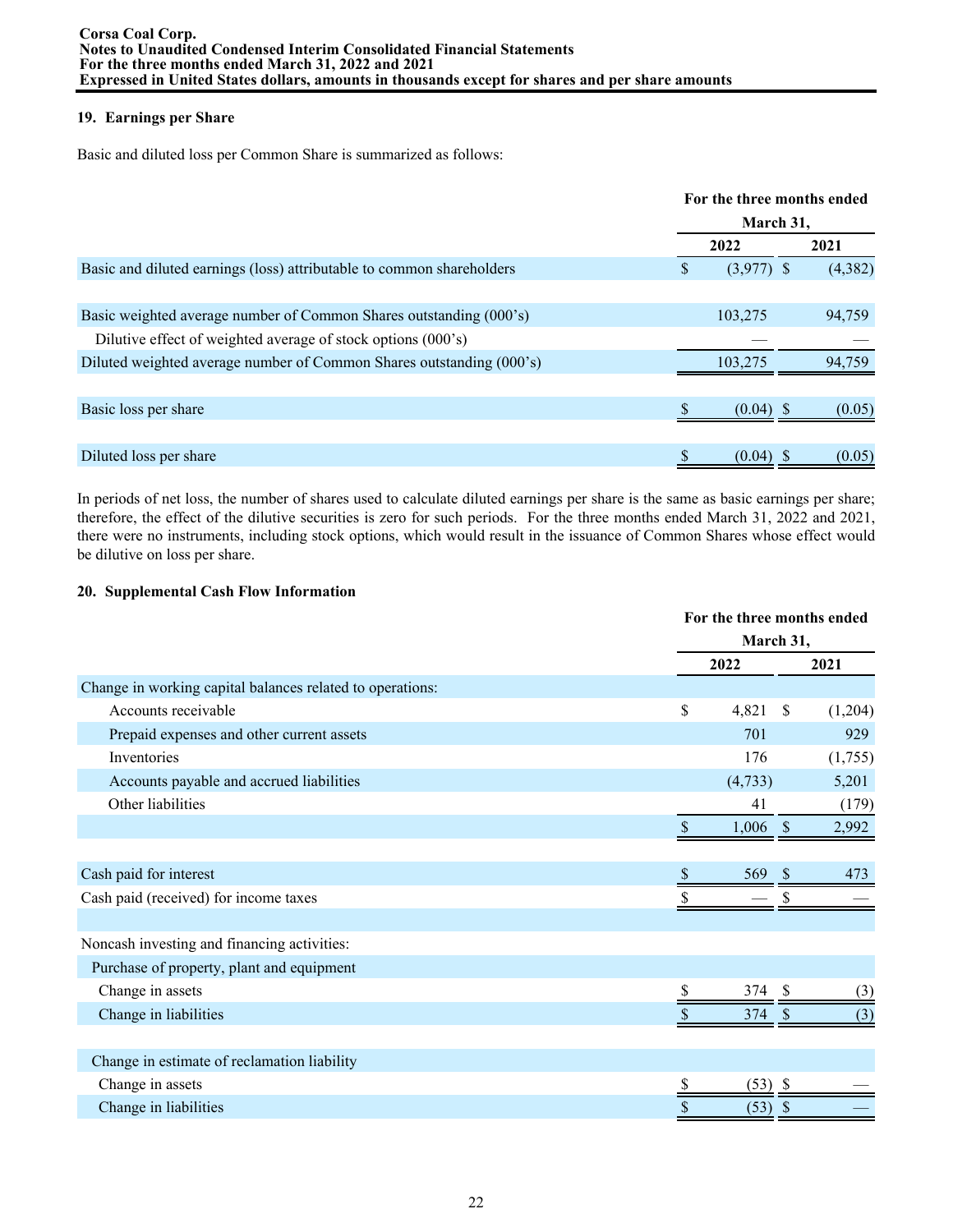# **19. Earnings per Share**

Basic and diluted loss per Common Share is summarized as follows:

|                                                                       | For the three months ended |              |  |         |
|-----------------------------------------------------------------------|----------------------------|--------------|--|---------|
|                                                                       | March 31,                  |              |  |         |
|                                                                       |                            | 2022         |  | 2021    |
| Basic and diluted earnings (loss) attributable to common shareholders | S                          | $(3,977)$ \$ |  | (4,382) |
|                                                                       |                            |              |  |         |
| Basic weighted average number of Common Shares outstanding (000's)    |                            | 103,275      |  | 94,759  |
| Dilutive effect of weighted average of stock options (000's)          |                            |              |  |         |
| Diluted weighted average number of Common Shares outstanding (000's)  |                            | 103.275      |  | 94.759  |
|                                                                       |                            |              |  |         |
| Basic loss per share                                                  |                            | $(0.04)$ \$  |  | (0.05)  |
|                                                                       |                            |              |  |         |
| Diluted loss per share                                                |                            | (0.04)       |  | (0.05)  |

In periods of net loss, the number of shares used to calculate diluted earnings per share is the same as basic earnings per share; therefore, the effect of the dilutive securities is zero for such periods. For the three months ended March 31, 2022 and 2021, there were no instruments, including stock options, which would result in the issuance of Common Shares whose effect would be dilutive on loss per share.

# **20. Supplemental Cash Flow Information**

|                                                           | For the three months ended |            |    |         |
|-----------------------------------------------------------|----------------------------|------------|----|---------|
|                                                           | March 31,                  |            |    |         |
|                                                           |                            | 2022       |    | 2021    |
| Change in working capital balances related to operations: |                            |            |    |         |
| Accounts receivable                                       | \$                         | 4,821      | \$ | (1,204) |
| Prepaid expenses and other current assets                 |                            | 701        |    | 929     |
| Inventories                                               |                            | 176        |    | (1,755) |
| Accounts payable and accrued liabilities                  |                            | (4,733)    |    | 5,201   |
| Other liabilities                                         |                            | 41         |    | (179)   |
|                                                           |                            | $1,006$ \$ |    | 2,992   |
|                                                           |                            |            |    |         |
| Cash paid for interest                                    |                            | 569        |    | 473     |
| Cash paid (received) for income taxes                     |                            |            |    |         |
|                                                           |                            |            |    |         |
| Noncash investing and financing activities:               |                            |            |    |         |
| Purchase of property, plant and equipment                 |                            |            |    |         |
| Change in assets                                          |                            | 374 \$     |    | (3)     |
| Change in liabilities                                     |                            | 374        | S  | (3)     |
|                                                           |                            |            |    |         |
| Change in estimate of reclamation liability               |                            |            |    |         |
| Change in assets                                          |                            | $(53)$ \$  |    |         |
| Change in liabilities                                     | \$                         | (53)       | \$ |         |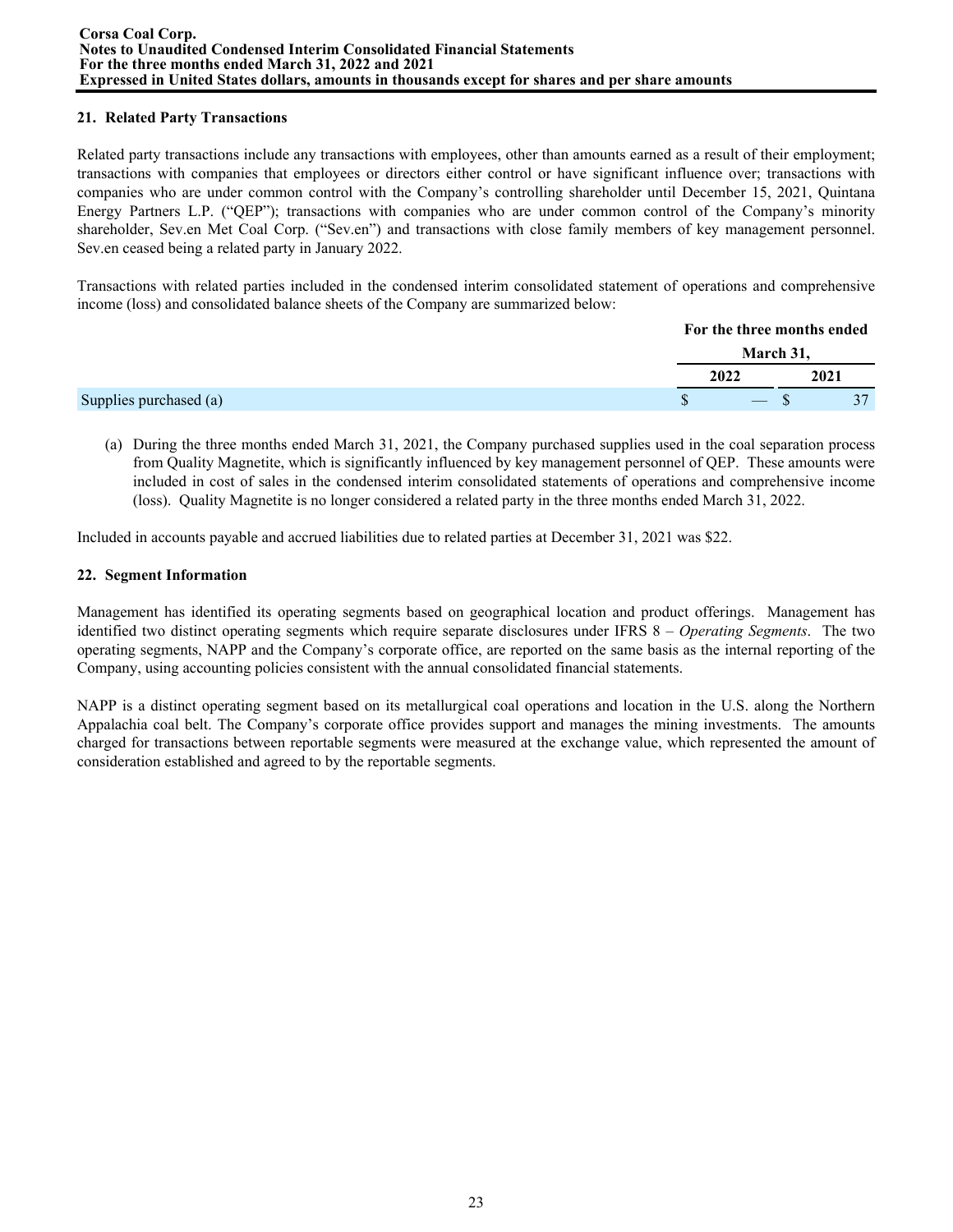# **21. Related Party Transactions**

Related party transactions include any transactions with employees, other than amounts earned as a result of their employment; transactions with companies that employees or directors either control or have significant influence over; transactions with companies who are under common control with the Company's controlling shareholder until December 15, 2021, Quintana Energy Partners L.P. ("QEP"); transactions with companies who are under common control of the Company's minority shareholder, Sev.en Met Coal Corp. ("Sev.en") and transactions with close family members of key management personnel. Sev.en ceased being a related party in January 2022.

Transactions with related parties included in the condensed interim consolidated statement of operations and comprehensive income (loss) and consolidated balance sheets of the Company are summarized below:

|                        | For the three months ended |      |  |
|------------------------|----------------------------|------|--|
|                        | March 31,                  |      |  |
|                        | 2022                       | 2021 |  |
| Supplies purchased (a) | $-$ S                      |      |  |

(a) During the three months ended March 31, 2021, the Company purchased supplies used in the coal separation process from Quality Magnetite, which is significantly influenced by key management personnel of QEP. These amounts were included in cost of sales in the condensed interim consolidated statements of operations and comprehensive income (loss). Quality Magnetite is no longer considered a related party in the three months ended March 31, 2022.

Included in accounts payable and accrued liabilities due to related parties at December 31, 2021 was \$22.

### **22. Segment Information**

Management has identified its operating segments based on geographical location and product offerings. Management has identified two distinct operating segments which require separate disclosures under IFRS 8 – *Operating Segments*. The two operating segments, NAPP and the Company's corporate office, are reported on the same basis as the internal reporting of the Company, using accounting policies consistent with the annual consolidated financial statements.

NAPP is a distinct operating segment based on its metallurgical coal operations and location in the U.S. along the Northern Appalachia coal belt. The Company's corporate office provides support and manages the mining investments. The amounts charged for transactions between reportable segments were measured at the exchange value, which represented the amount of consideration established and agreed to by the reportable segments.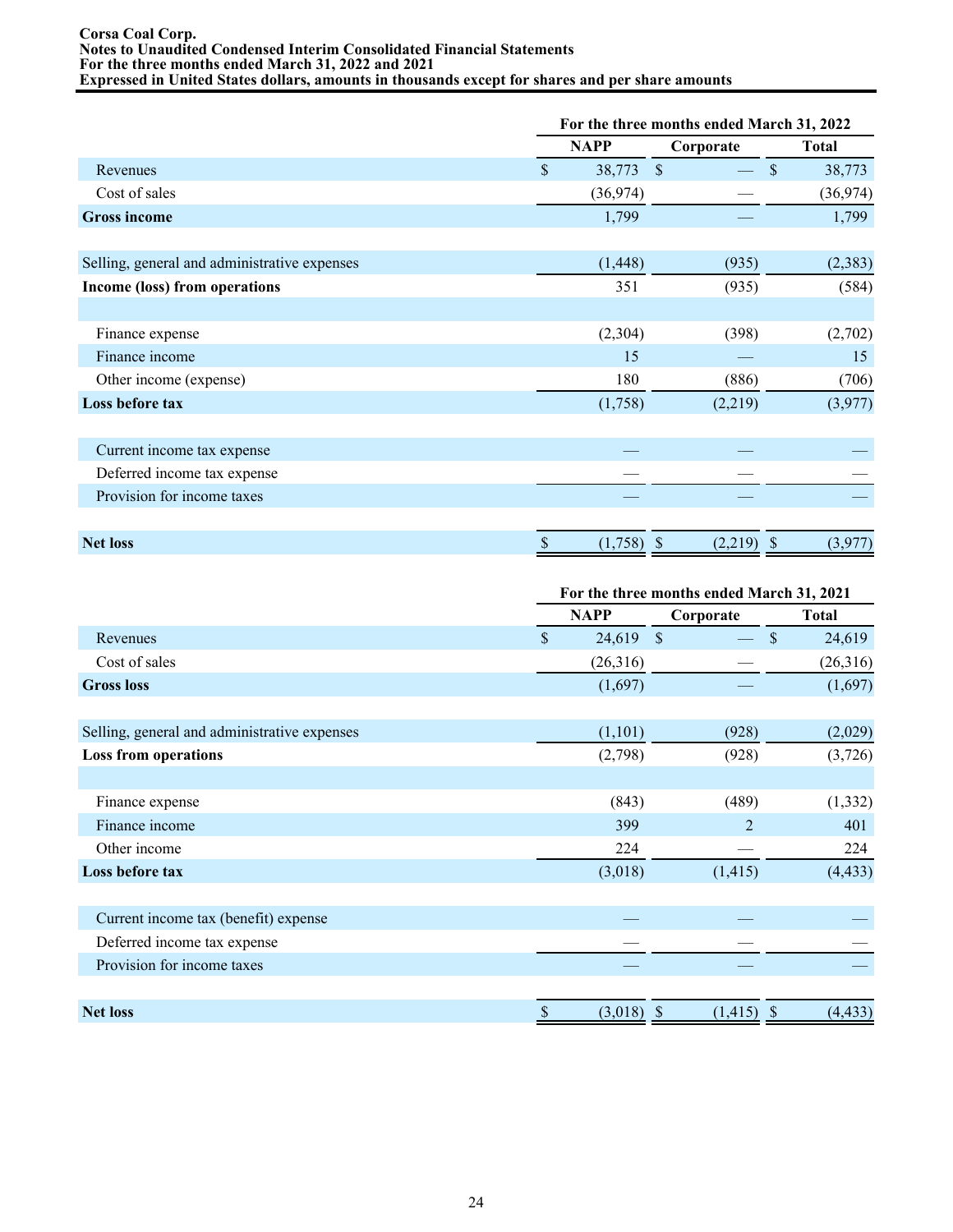#### **Corsa Coal Corp. Notes to Unaudited Condensed Interim Consolidated Financial Statements For the three months ended March 31, 2022 and 2021 Expressed in United States dollars, amounts in thousands except for shares and per share amounts**

|                                              |                    | For the three months ended March 31, 2022 |               |                        |  |  |
|----------------------------------------------|--------------------|-------------------------------------------|---------------|------------------------|--|--|
|                                              |                    | <b>NAPP</b>                               | Corporate     | <b>Total</b>           |  |  |
| Revenues                                     | $\mathbf{\hat{S}}$ | 38,773                                    | $\mathcal{S}$ | $\mathbb{S}$<br>38,773 |  |  |
| Cost of sales                                |                    | (36, 974)                                 |               | (36,974)               |  |  |
| <b>Gross income</b>                          |                    | 1,799                                     |               | 1,799                  |  |  |
| Selling, general and administrative expenses |                    | (1, 448)                                  | (935)         | (2,383)                |  |  |
| Income (loss) from operations                |                    | 351                                       | (935)         | (584)                  |  |  |
| Finance expense                              |                    | (2,304)                                   | (398)         | (2,702)                |  |  |
| Finance income                               |                    | 15                                        |               | 15                     |  |  |
| Other income (expense)                       |                    | 180                                       | (886)         | (706)                  |  |  |
| Loss before tax                              |                    | (1,758)                                   | (2,219)       | (3,977)                |  |  |
| Current income tax expense                   |                    |                                           |               |                        |  |  |
| Deferred income tax expense                  |                    |                                           |               |                        |  |  |
| Provision for income taxes                   |                    |                                           |               |                        |  |  |
| <b>Net loss</b>                              | \$                 | $(1,758)$ \$                              | $(2,219)$ \$  | (3,977)                |  |  |

|                                              | For the three months ended March 31, 2021 |             |                               |              |  |  |
|----------------------------------------------|-------------------------------------------|-------------|-------------------------------|--------------|--|--|
|                                              |                                           | <b>NAPP</b> | Corporate                     | <b>Total</b> |  |  |
| Revenues                                     | $\mathsf{\$}$                             | $24,619$ \$ |                               | 24,619<br>\$ |  |  |
| Cost of sales                                |                                           | (26,316)    |                               | (26,316)     |  |  |
| <b>Gross loss</b>                            |                                           | (1,697)     |                               | (1,697)      |  |  |
|                                              |                                           |             |                               |              |  |  |
| Selling, general and administrative expenses |                                           | (1,101)     | (928)                         | (2,029)      |  |  |
| <b>Loss from operations</b>                  |                                           | (2,798)     | (928)                         | (3,726)      |  |  |
|                                              |                                           |             |                               |              |  |  |
| Finance expense                              |                                           | (843)       | (489)                         | (1, 332)     |  |  |
| Finance income                               |                                           | 399         | 2                             | 401          |  |  |
| Other income                                 |                                           | 224         |                               | 224          |  |  |
| Loss before tax                              |                                           | (3,018)     | (1, 415)                      | (4, 433)     |  |  |
|                                              |                                           |             |                               |              |  |  |
| Current income tax (benefit) expense         |                                           |             |                               |              |  |  |
| Deferred income tax expense                  |                                           |             |                               |              |  |  |
| Provision for income taxes                   |                                           |             |                               |              |  |  |
|                                              |                                           |             |                               |              |  |  |
| <b>Net loss</b>                              | $\mathcal{S}$                             | (3,018)     | $\mathcal{S}$<br>$(1,415)$ \$ | (4, 433)     |  |  |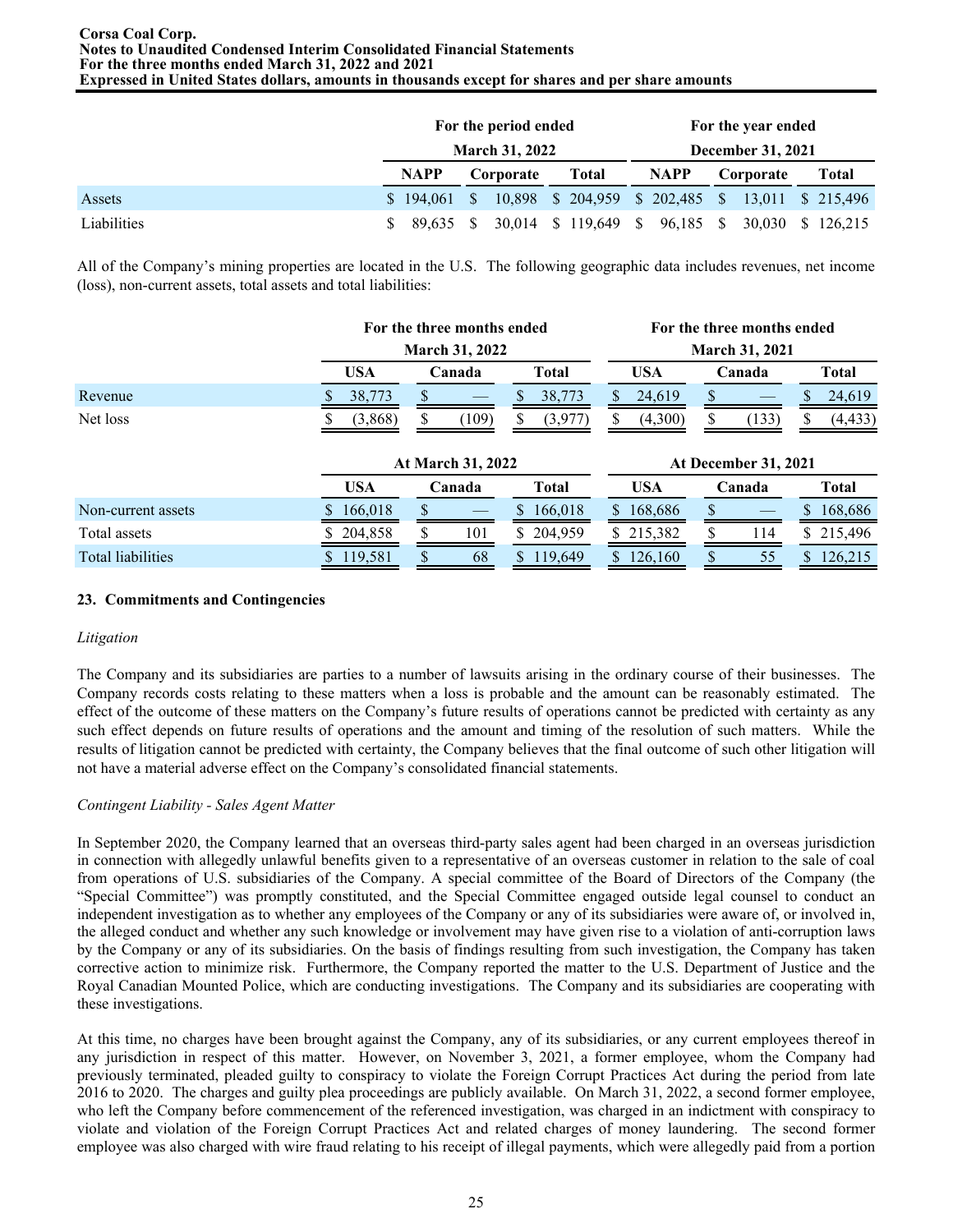|             |               | For the period ended<br><b>March 31, 2022</b> |                      | For the year ended<br><b>December 31, 2021</b> |                                                   |                   |
|-------------|---------------|-----------------------------------------------|----------------------|------------------------------------------------|---------------------------------------------------|-------------------|
|             | NAPP          | Corporate                                     | Total                | <b>NAPP</b>                                    | Corporate                                         | Total             |
| Assets      | $$194.061$ \$ |                                               |                      |                                                | 10,898 \$ 204,959 \$ 202,485 \$ 13,011 \$ 215,496 |                   |
| Liabilities | 89.635        |                                               | 30,014 \$ 119,649 \$ | 96,185 \$                                      |                                                   | 30,030 \$ 126,215 |

All of the Company's mining properties are located in the U.S. The following geographic data includes revenues, net income (loss), non-current assets, total assets and total liabilities:

|                          |                          | For the three months ended  |               | For the three months ended<br><b>March 31, 2021</b> |        |           |  |
|--------------------------|--------------------------|-----------------------------|---------------|-----------------------------------------------------|--------|-----------|--|
|                          |                          | <b>March 31, 2022</b>       |               |                                                     |        |           |  |
|                          | <b>USA</b>               | Canada                      | <b>Total</b>  | <b>USA</b>                                          | Canada | Total     |  |
| Revenue                  | 38,773                   |                             | 38,773        | 24,619                                              |        | 24,619    |  |
| Net loss                 | (3,868)                  | (109)<br>S.                 | (3,977)       | (4,300)                                             | (133)  | (4, 433)  |  |
|                          |                          |                             |               |                                                     |        |           |  |
|                          | <b>At March 31, 2022</b> | <b>At December 31, 2021</b> |               |                                                     |        |           |  |
|                          | <b>USA</b>               | Canada                      | <b>Total</b>  | <b>USA</b>                                          | Canada | Total     |  |
| Non-current assets       | 166,018                  |                             | 166,018<br>S. | 168,686                                             |        | 168,686   |  |
| Total assets             | 204,858                  | \$.<br>101                  | 204,959<br>S. | \$215,382                                           | 114    | \$215,496 |  |
| <b>Total liabilities</b> |                          |                             |               |                                                     |        |           |  |

# **23. Commitments and Contingencies**

# *Litigation*

The Company and its subsidiaries are parties to a number of lawsuits arising in the ordinary course of their businesses. The Company records costs relating to these matters when a loss is probable and the amount can be reasonably estimated. The effect of the outcome of these matters on the Company's future results of operations cannot be predicted with certainty as any such effect depends on future results of operations and the amount and timing of the resolution of such matters. While the results of litigation cannot be predicted with certainty, the Company believes that the final outcome of such other litigation will not have a material adverse effect on the Company's consolidated financial statements.

# *Contingent Liability - Sales Agent Matter*

In September 2020, the Company learned that an overseas third-party sales agent had been charged in an overseas jurisdiction in connection with allegedly unlawful benefits given to a representative of an overseas customer in relation to the sale of coal from operations of U.S. subsidiaries of the Company. A special committee of the Board of Directors of the Company (the "Special Committee") was promptly constituted, and the Special Committee engaged outside legal counsel to conduct an independent investigation as to whether any employees of the Company or any of its subsidiaries were aware of, or involved in, the alleged conduct and whether any such knowledge or involvement may have given rise to a violation of anti-corruption laws by the Company or any of its subsidiaries. On the basis of findings resulting from such investigation, the Company has taken corrective action to minimize risk. Furthermore, the Company reported the matter to the U.S. Department of Justice and the Royal Canadian Mounted Police, which are conducting investigations. The Company and its subsidiaries are cooperating with these investigations.

At this time, no charges have been brought against the Company, any of its subsidiaries, or any current employees thereof in any jurisdiction in respect of this matter. However, on November 3, 2021, a former employee, whom the Company had previously terminated, pleaded guilty to conspiracy to violate the Foreign Corrupt Practices Act during the period from late 2016 to 2020. The charges and guilty plea proceedings are publicly available. On March 31, 2022, a second former employee, who left the Company before commencement of the referenced investigation, was charged in an indictment with conspiracy to violate and violation of the Foreign Corrupt Practices Act and related charges of money laundering. The second former employee was also charged with wire fraud relating to his receipt of illegal payments, which were allegedly paid from a portion